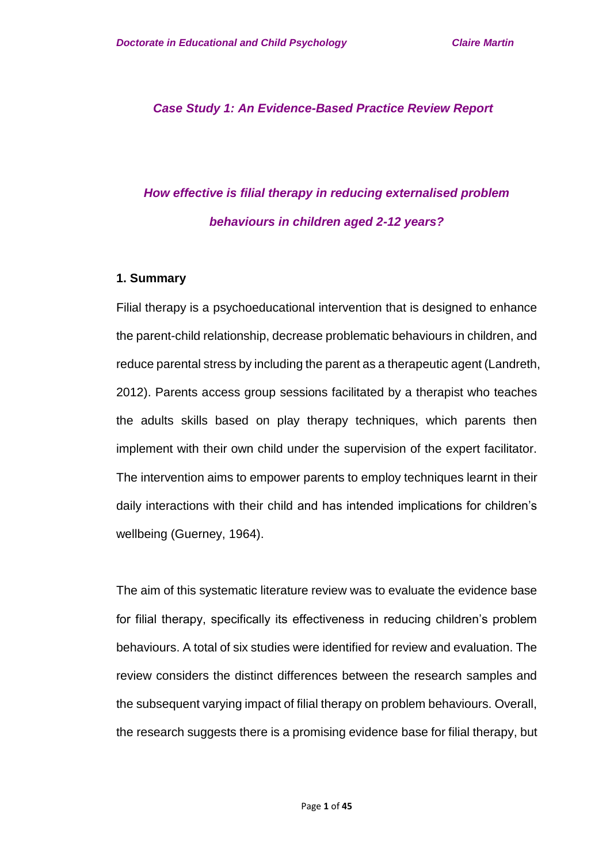*Case Study 1: An Evidence-Based Practice Review Report*

# *How effective is filial therapy in reducing externalised problem behaviours in children aged 2-12 years?*

#### **1. Summary**

Filial therapy is a psychoeducational intervention that is designed to enhance the parent-child relationship, decrease problematic behaviours in children, and reduce parental stress by including the parent as a therapeutic agent (Landreth, 2012). Parents access group sessions facilitated by a therapist who teaches the adults skills based on play therapy techniques, which parents then implement with their own child under the supervision of the expert facilitator. The intervention aims to empower parents to employ techniques learnt in their daily interactions with their child and has intended implications for children's wellbeing (Guerney, 1964).

The aim of this systematic literature review was to evaluate the evidence base for filial therapy, specifically its effectiveness in reducing children's problem behaviours. A total of six studies were identified for review and evaluation. The review considers the distinct differences between the research samples and the subsequent varying impact of filial therapy on problem behaviours. Overall, the research suggests there is a promising evidence base for filial therapy, but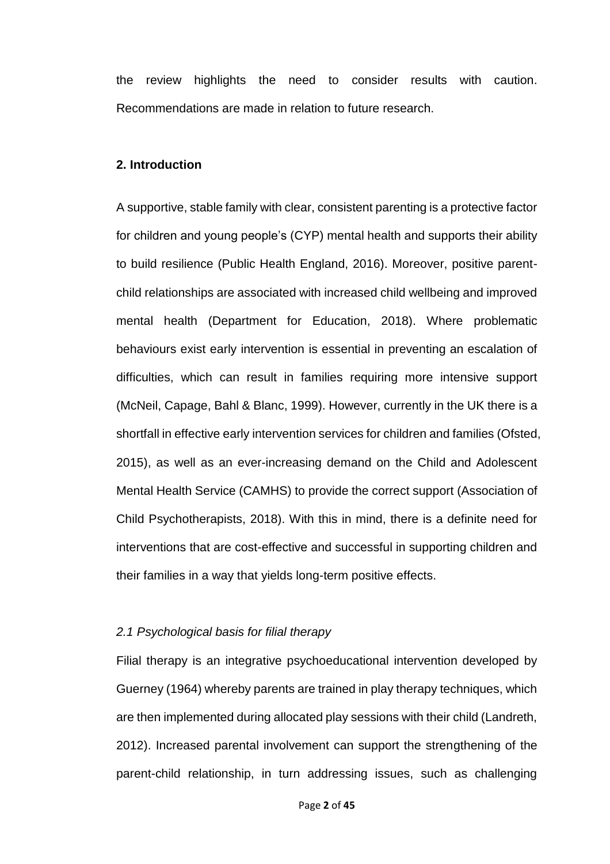the review highlights the need to consider results with caution. Recommendations are made in relation to future research.

#### **2. Introduction**

A supportive, stable family with clear, consistent parenting is a protective factor for children and young people's (CYP) mental health and supports their ability to build resilience (Public Health England, 2016). Moreover, positive parentchild relationships are associated with increased child wellbeing and improved mental health (Department for Education, 2018). Where problematic behaviours exist early intervention is essential in preventing an escalation of difficulties, which can result in families requiring more intensive support (McNeil, Capage, Bahl & Blanc, 1999). However, currently in the UK there is a shortfall in effective early intervention services for children and families (Ofsted, 2015), as well as an ever-increasing demand on the Child and Adolescent Mental Health Service (CAMHS) to provide the correct support (Association of Child Psychotherapists, 2018). With this in mind, there is a definite need for interventions that are cost-effective and successful in supporting children and their families in a way that yields long-term positive effects.

#### *2.1 Psychological basis for filial therapy*

Filial therapy is an integrative psychoeducational intervention developed by Guerney (1964) whereby parents are trained in play therapy techniques, which are then implemented during allocated play sessions with their child (Landreth, 2012). Increased parental involvement can support the strengthening of the parent-child relationship, in turn addressing issues, such as challenging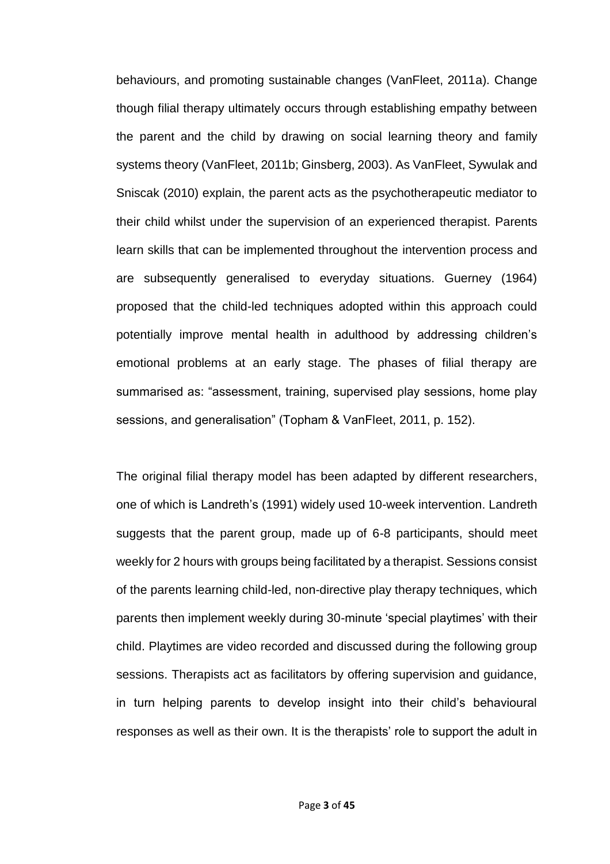behaviours, and promoting sustainable changes (VanFleet, 2011a). Change though filial therapy ultimately occurs through establishing empathy between the parent and the child by drawing on social learning theory and family systems theory (VanFleet, 2011b; Ginsberg, 2003). As VanFleet, Sywulak and Sniscak (2010) explain, the parent acts as the psychotherapeutic mediator to their child whilst under the supervision of an experienced therapist. Parents learn skills that can be implemented throughout the intervention process and are subsequently generalised to everyday situations. Guerney (1964) proposed that the child-led techniques adopted within this approach could potentially improve mental health in adulthood by addressing children's emotional problems at an early stage. The phases of filial therapy are summarised as: "assessment, training, supervised play sessions, home play sessions, and generalisation" (Topham & VanFleet, 2011, p. 152).

The original filial therapy model has been adapted by different researchers, one of which is Landreth's (1991) widely used 10-week intervention. Landreth suggests that the parent group, made up of 6-8 participants, should meet weekly for 2 hours with groups being facilitated by a therapist. Sessions consist of the parents learning child-led, non-directive play therapy techniques, which parents then implement weekly during 30-minute 'special playtimes' with their child. Playtimes are video recorded and discussed during the following group sessions. Therapists act as facilitators by offering supervision and guidance, in turn helping parents to develop insight into their child's behavioural responses as well as their own. It is the therapists' role to support the adult in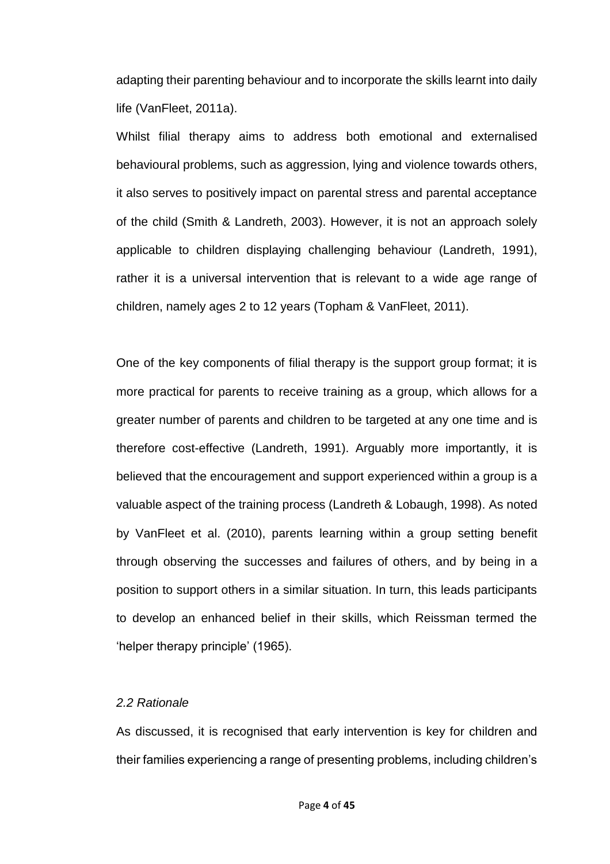adapting their parenting behaviour and to incorporate the skills learnt into daily life (VanFleet, 2011a).

Whilst filial therapy aims to address both emotional and externalised behavioural problems, such as aggression, lying and violence towards others, it also serves to positively impact on parental stress and parental acceptance of the child (Smith & Landreth, 2003). However, it is not an approach solely applicable to children displaying challenging behaviour (Landreth, 1991), rather it is a universal intervention that is relevant to a wide age range of children, namely ages 2 to 12 years (Topham & VanFleet, 2011).

One of the key components of filial therapy is the support group format; it is more practical for parents to receive training as a group, which allows for a greater number of parents and children to be targeted at any one time and is therefore cost-effective (Landreth, 1991). Arguably more importantly, it is believed that the encouragement and support experienced within a group is a valuable aspect of the training process (Landreth & Lobaugh, 1998). As noted by VanFleet et al. (2010), parents learning within a group setting benefit through observing the successes and failures of others, and by being in a position to support others in a similar situation. In turn, this leads participants to develop an enhanced belief in their skills, which Reissman termed the 'helper therapy principle' (1965).

#### *2.2 Rationale*

As discussed, it is recognised that early intervention is key for children and their families experiencing a range of presenting problems, including children's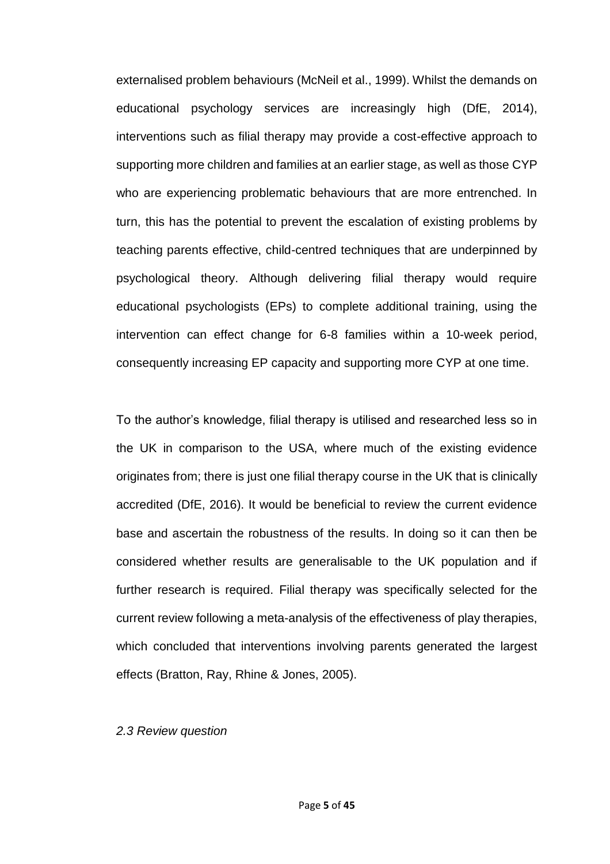externalised problem behaviours (McNeil et al., 1999). Whilst the demands on educational psychology services are increasingly high (DfE, 2014), interventions such as filial therapy may provide a cost-effective approach to supporting more children and families at an earlier stage, as well as those CYP who are experiencing problematic behaviours that are more entrenched. In turn, this has the potential to prevent the escalation of existing problems by teaching parents effective, child-centred techniques that are underpinned by psychological theory. Although delivering filial therapy would require educational psychologists (EPs) to complete additional training, using the intervention can effect change for 6-8 families within a 10-week period, consequently increasing EP capacity and supporting more CYP at one time.

To the author's knowledge, filial therapy is utilised and researched less so in the UK in comparison to the USA, where much of the existing evidence originates from; there is just one filial therapy course in the UK that is clinically accredited (DfE, 2016). It would be beneficial to review the current evidence base and ascertain the robustness of the results. In doing so it can then be considered whether results are generalisable to the UK population and if further research is required. Filial therapy was specifically selected for the current review following a meta-analysis of the effectiveness of play therapies, which concluded that interventions involving parents generated the largest effects (Bratton, Ray, Rhine & Jones, 2005).

#### *2.3 Review question*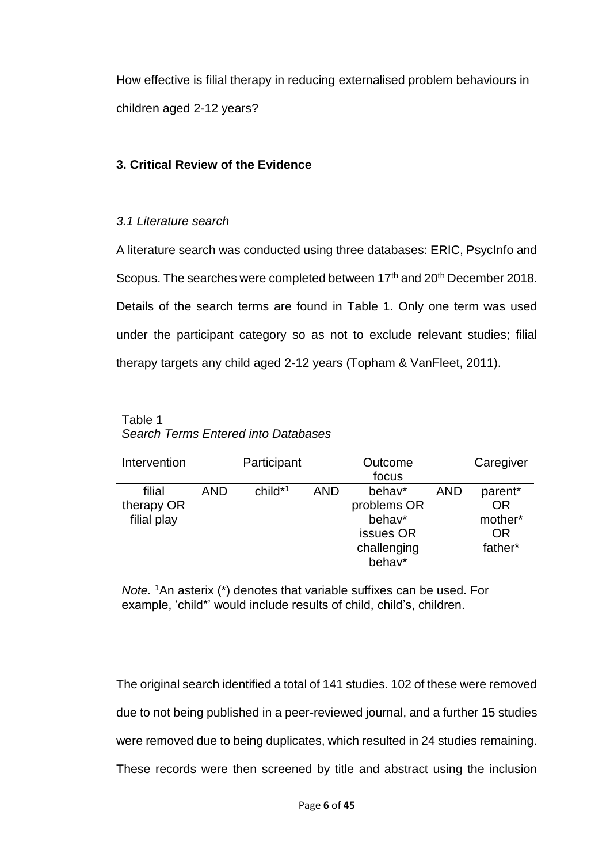How effective is filial therapy in reducing externalised problem behaviours in children aged 2-12 years?

# **3. Critical Review of the Evidence**

## *3.1 Literature search*

A literature search was conducted using three databases: ERIC, PsycInfo and Scopus. The searches were completed between 17<sup>th</sup> and 20<sup>th</sup> December 2018. Details of the search terms are found in Table 1. Only one term was used under the participant category so as not to exclude relevant studies; filial therapy targets any child aged 2-12 years (Topham & VanFleet, 2011).

## Table 1 *Search Terms Entered into Databases*

| Intervention                        |            | Participant |            | Outcome<br>focus                                                      |            | Caregiver                                        |
|-------------------------------------|------------|-------------|------------|-----------------------------------------------------------------------|------------|--------------------------------------------------|
| filial<br>therapy OR<br>filial play | <b>AND</b> | $child*1$   | <b>AND</b> | behav*<br>problems OR<br>behav*<br>issues OR<br>challenging<br>behav* | <b>AND</b> | parent*<br>OR<br>mother*<br><b>OR</b><br>father* |

*Note.* <sup>1</sup>An asterix (\*) denotes that variable suffixes can be used. For example, 'child\*' would include results of child, child's, children.

The original search identified a total of 141 studies. 102 of these were removed due to not being published in a peer-reviewed journal, and a further 15 studies were removed due to being duplicates, which resulted in 24 studies remaining. These records were then screened by title and abstract using the inclusion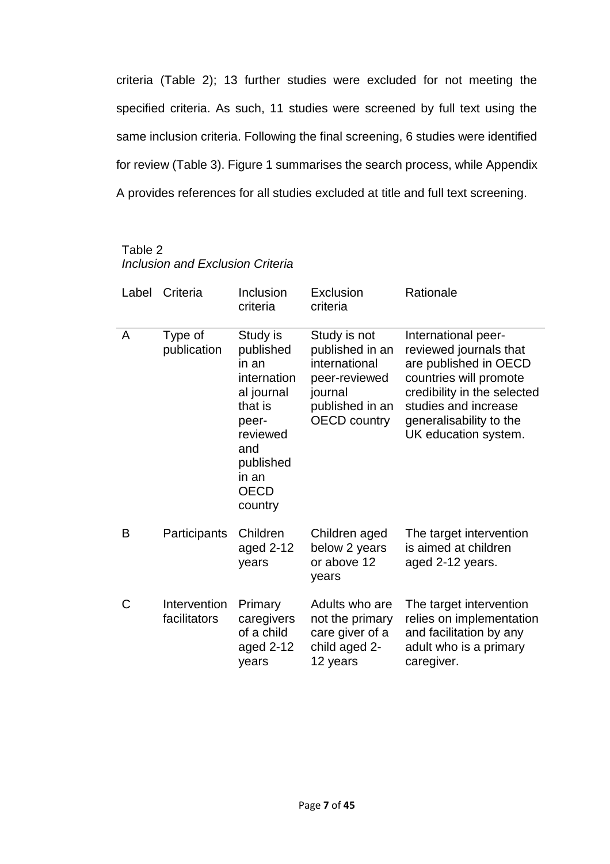criteria (Table 2); 13 further studies were excluded for not meeting the specified criteria. As such, 11 studies were screened by full text using the same inclusion criteria. Following the final screening, 6 studies were identified for review (Table 3). Figure 1 summarises the search process, while Appendix A provides references for all studies excluded at title and full text screening.

# Table 2 *Inclusion and Exclusion Criteria*

| Label | Criteria                     | Inclusion<br>criteria                                                                                                                              | Exclusion<br>criteria                                                                                                  | Rationale                                                                                                                                                                                                  |
|-------|------------------------------|----------------------------------------------------------------------------------------------------------------------------------------------------|------------------------------------------------------------------------------------------------------------------------|------------------------------------------------------------------------------------------------------------------------------------------------------------------------------------------------------------|
| A     | Type of<br>publication       | Study is<br>published<br>in an<br>internation<br>al journal<br>that is<br>peer-<br>reviewed<br>and<br>published<br>in an<br><b>OECD</b><br>country | Study is not<br>published in an<br>international<br>peer-reviewed<br>journal<br>published in an<br><b>OECD country</b> | International peer-<br>reviewed journals that<br>are published in OECD<br>countries will promote<br>credibility in the selected<br>studies and increase<br>generalisability to the<br>UK education system. |
| B     | Participants                 | Children<br>aged 2-12<br>years                                                                                                                     | Children aged<br>below 2 years<br>or above 12<br>years                                                                 | The target intervention<br>is aimed at children<br>aged 2-12 years.                                                                                                                                        |
| C     | Intervention<br>facilitators | Primary<br>caregivers<br>of a child<br>aged 2-12<br>years                                                                                          | Adults who are<br>not the primary<br>care giver of a<br>child aged 2-<br>12 years                                      | The target intervention<br>relies on implementation<br>and facilitation by any<br>adult who is a primary<br>caregiver.                                                                                     |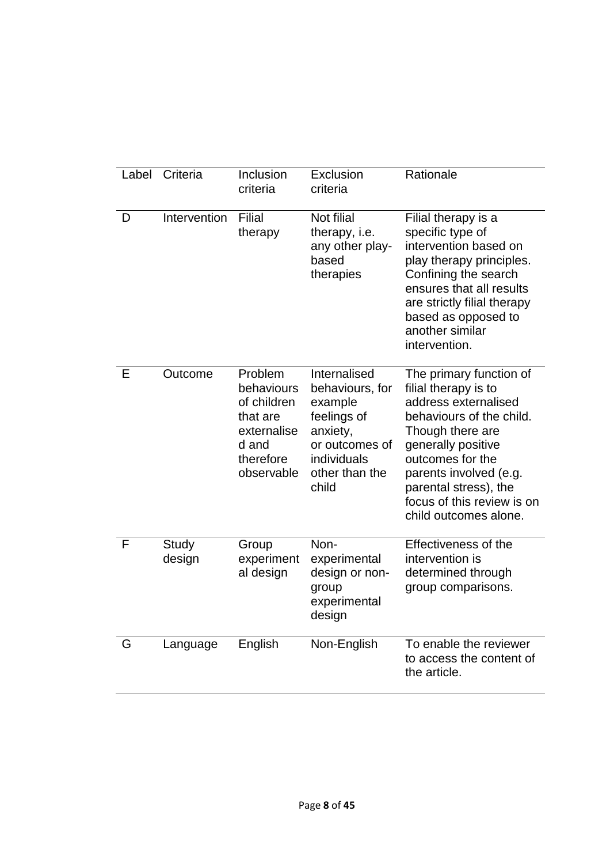| Label | Criteria        | Inclusion                                                                                           | Exclusion                                                                                                                         | Rationale                                                                                                                                                                                                                                                                   |
|-------|-----------------|-----------------------------------------------------------------------------------------------------|-----------------------------------------------------------------------------------------------------------------------------------|-----------------------------------------------------------------------------------------------------------------------------------------------------------------------------------------------------------------------------------------------------------------------------|
|       |                 | criteria                                                                                            | criteria                                                                                                                          |                                                                                                                                                                                                                                                                             |
| D     | Intervention    | Filial<br>therapy                                                                                   | Not filial<br>therapy, i.e.<br>any other play-<br>based<br>therapies                                                              | Filial therapy is a<br>specific type of<br>intervention based on<br>play therapy principles.<br>Confining the search<br>ensures that all results<br>are strictly filial therapy<br>based as opposed to<br>another similar<br>intervention.                                  |
| E     | Outcome         | Problem<br>behaviours<br>of children<br>that are<br>externalise<br>d and<br>therefore<br>observable | Internalised<br>behaviours, for<br>example<br>feelings of<br>anxiety,<br>or outcomes of<br>individuals<br>other than the<br>child | The primary function of<br>filial therapy is to<br>address externalised<br>behaviours of the child.<br>Though there are<br>generally positive<br>outcomes for the<br>parents involved (e.g.<br>parental stress), the<br>focus of this review is on<br>child outcomes alone. |
| F     | Study<br>design | Group<br>experiment<br>al design                                                                    | Non-<br>experimental<br>design or non-<br>group<br>experimental<br>design                                                         | Effectiveness of the<br>intervention is<br>determined through<br>group comparisons.                                                                                                                                                                                         |
| G     | Language        | English                                                                                             | Non-English                                                                                                                       | To enable the reviewer<br>to access the content of<br>the article.                                                                                                                                                                                                          |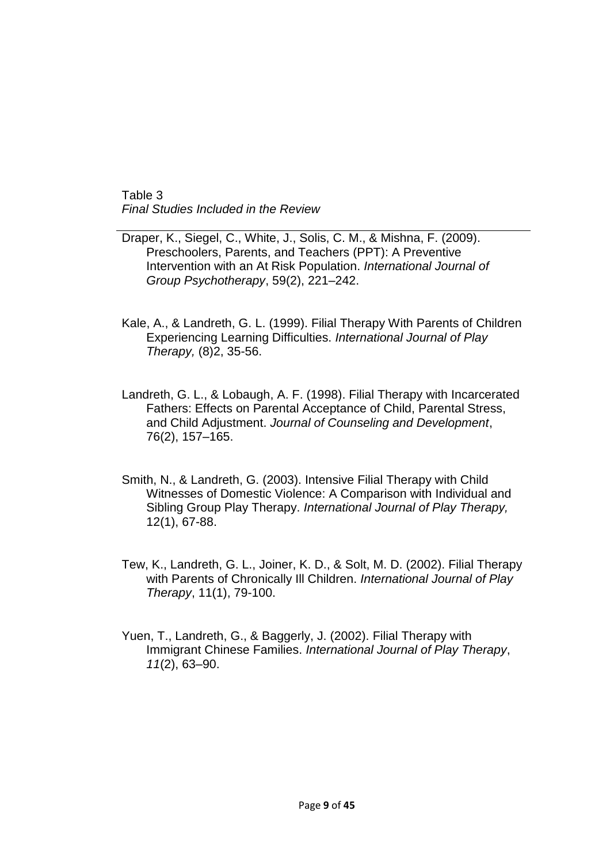Table 3 *Final Studies Included in the Review*

Draper, K., Siegel, C., White, J., Solis, C. M., & Mishna, F. (2009). Preschoolers, Parents, and Teachers (PPT): A Preventive Intervention with an At Risk Population. *International Journal of Group Psychotherapy*, 59(2), 221–242.

- Kale, A., & Landreth, G. L. (1999). Filial Therapy With Parents of Children Experiencing Learning Difficulties. *International Journal of Play Therapy,* (8)2, 35-56.
- Landreth, G. L., & Lobaugh, A. F. (1998). Filial Therapy with Incarcerated Fathers: Effects on Parental Acceptance of Child, Parental Stress, and Child Adjustment. *Journal of Counseling and Development*, 76(2), 157–165.
- Smith, N., & Landreth, G. (2003). Intensive Filial Therapy with Child Witnesses of Domestic Violence: A Comparison with Individual and Sibling Group Play Therapy. *International Journal of Play Therapy,* 12(1), 67-88.
- Tew, K., Landreth, G. L., Joiner, K. D., & Solt, M. D. (2002). Filial Therapy with Parents of Chronically Ill Children. *International Journal of Play Therapy*, 11(1), 79-100.
- Yuen, T., Landreth, G., & Baggerly, J. (2002). Filial Therapy with Immigrant Chinese Families. *International Journal of Play Therapy*, *11*(2), 63–90.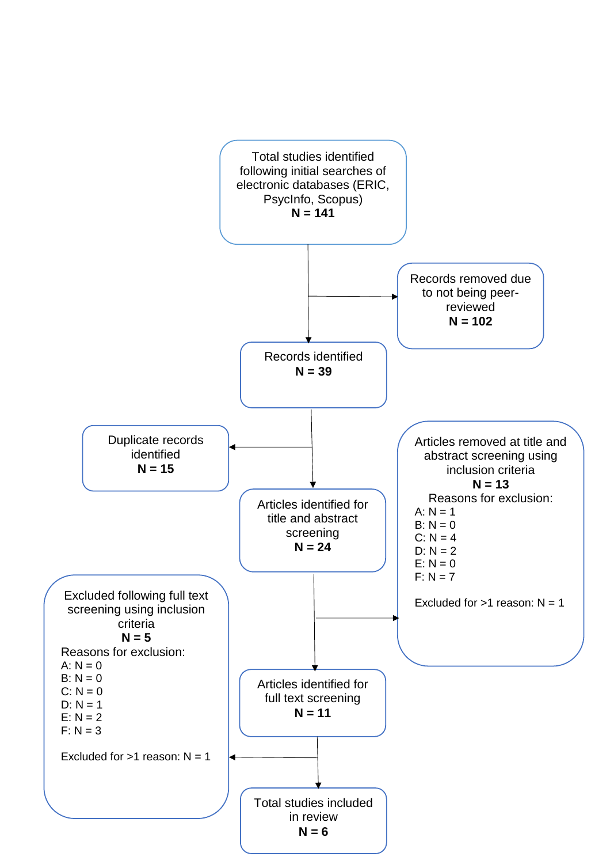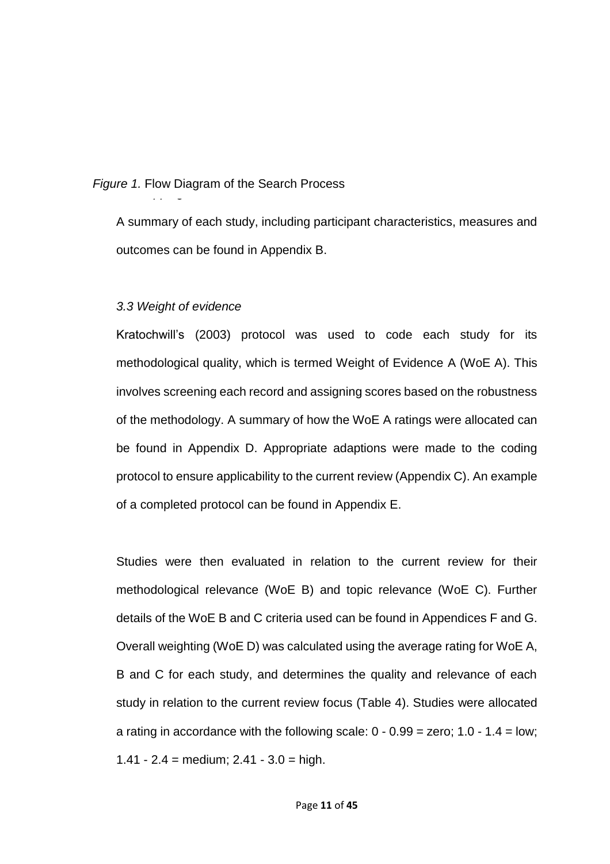*3.2 Mapping the field Figure 1.* Flow Diagram of the Search Process

A summary of each study, including participant characteristics, measures and outcomes can be found in Appendix B.

#### *3.3 Weight of evidence*

Kratochwill's (2003) protocol was used to code each study for its methodological quality, which is termed Weight of Evidence A (WoE A). This involves screening each record and assigning scores based on the robustness of the methodology. A summary of how the WoE A ratings were allocated can be found in Appendix D. Appropriate adaptions were made to the coding protocol to ensure applicability to the current review (Appendix C). An example of a completed protocol can be found in Appendix E.

Studies were then evaluated in relation to the current review for their methodological relevance (WoE B) and topic relevance (WoE C). Further details of the WoE B and C criteria used can be found in Appendices F and G. Overall weighting (WoE D) was calculated using the average rating for WoE A, B and C for each study, and determines the quality and relevance of each study in relation to the current review focus (Table 4). Studies were allocated a rating in accordance with the following scale:  $0 - 0.99 =$  zero;  $1.0 - 1.4 =$  low; 1.41 -  $2.4$  = medium;  $2.41 - 3.0$  = high.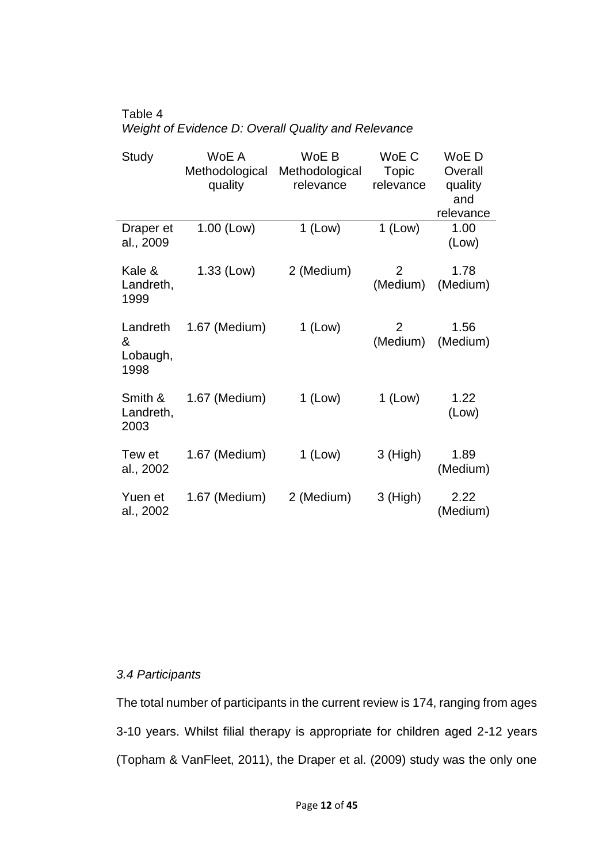#### Table 4 *Weight of Evidence D: Overall Quality and Relevance*

| Study                             | WoE A<br>Methodological<br>quality | WoE B<br>Methodological<br>relevance | WoE C<br><b>Topic</b><br>relevance | WoE D<br>Overall<br>quality<br>and<br>relevance |
|-----------------------------------|------------------------------------|--------------------------------------|------------------------------------|-------------------------------------------------|
| Draper et<br>al., 2009            | 1.00 (Low)                         | $1$ (Low)                            | $1$ (Low)                          | 1.00<br>(Low)                                   |
| Kale &<br>Landreth,<br>1999       | 1.33 (Low)                         | 2 (Medium)                           | $\overline{2}$<br>(Medium)         | 1.78<br>(Medium)                                |
| Landreth<br>&<br>Lobaugh,<br>1998 | 1.67 (Medium)                      | $1$ (Low)                            | 2<br>(Medium)                      | 1.56<br>(Medium)                                |
| Smith &<br>Landreth,<br>2003      | 1.67 (Medium)                      | $1$ (Low)                            | $1$ (Low)                          | 1.22<br>(Low)                                   |
| Tew et<br>al., 2002               | 1.67 (Medium)                      | $1$ (Low)                            | $3$ (High)                         | 1.89<br>(Medium)                                |
| Yuen et<br>al., 2002              | 1.67 (Medium)                      | 2 (Medium)                           | $3$ (High)                         | 2.22<br>(Medium)                                |

# *3.4 Participants*

The total number of participants in the current review is 174, ranging from ages 3-10 years. Whilst filial therapy is appropriate for children aged 2-12 years (Topham & VanFleet, 2011), the Draper et al. (2009) study was the only one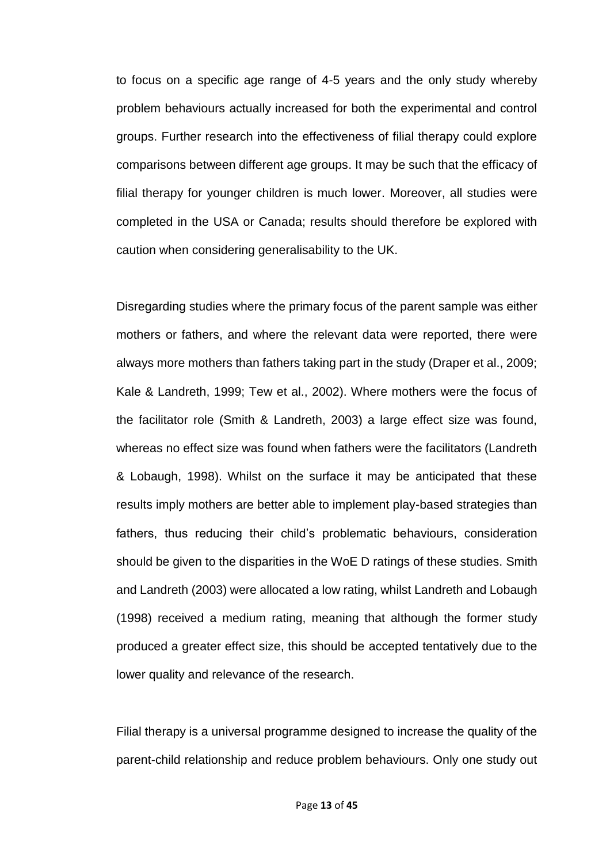to focus on a specific age range of 4-5 years and the only study whereby problem behaviours actually increased for both the experimental and control groups. Further research into the effectiveness of filial therapy could explore comparisons between different age groups. It may be such that the efficacy of filial therapy for younger children is much lower. Moreover, all studies were completed in the USA or Canada; results should therefore be explored with caution when considering generalisability to the UK.

Disregarding studies where the primary focus of the parent sample was either mothers or fathers, and where the relevant data were reported, there were always more mothers than fathers taking part in the study (Draper et al., 2009; Kale & Landreth, 1999; Tew et al., 2002). Where mothers were the focus of the facilitator role (Smith & Landreth, 2003) a large effect size was found, whereas no effect size was found when fathers were the facilitators (Landreth & Lobaugh, 1998). Whilst on the surface it may be anticipated that these results imply mothers are better able to implement play-based strategies than fathers, thus reducing their child's problematic behaviours, consideration should be given to the disparities in the WoE D ratings of these studies. Smith and Landreth (2003) were allocated a low rating, whilst Landreth and Lobaugh (1998) received a medium rating, meaning that although the former study produced a greater effect size, this should be accepted tentatively due to the lower quality and relevance of the research.

Filial therapy is a universal programme designed to increase the quality of the parent-child relationship and reduce problem behaviours. Only one study out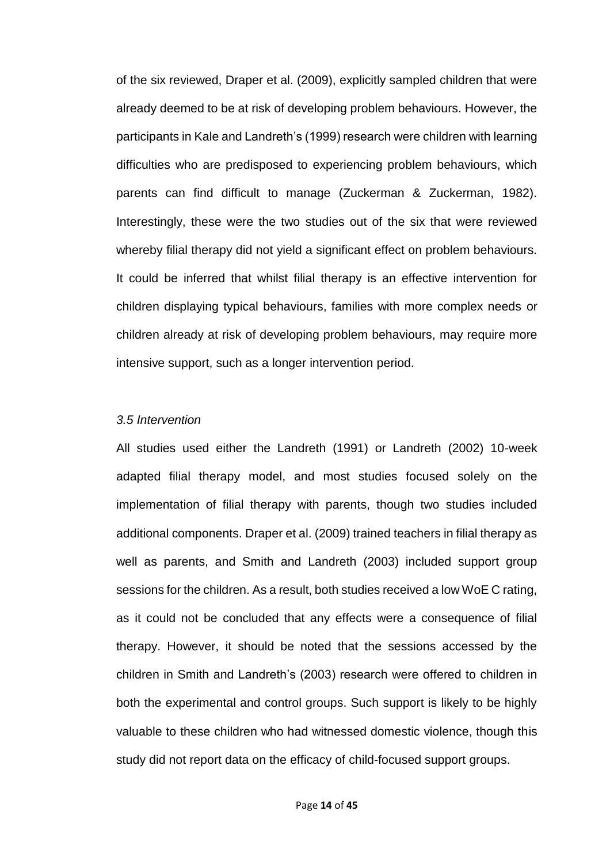of the six reviewed, Draper et al. (2009), explicitly sampled children that were already deemed to be at risk of developing problem behaviours. However, the participants in Kale and Landreth's (1999) research were children with learning difficulties who are predisposed to experiencing problem behaviours, which parents can find difficult to manage (Zuckerman & Zuckerman, 1982). Interestingly, these were the two studies out of the six that were reviewed whereby filial therapy did not yield a significant effect on problem behaviours. It could be inferred that whilst filial therapy is an effective intervention for children displaying typical behaviours, families with more complex needs or children already at risk of developing problem behaviours, may require more intensive support, such as a longer intervention period.

#### *3.5 Intervention*

All studies used either the Landreth (1991) or Landreth (2002) 10-week adapted filial therapy model, and most studies focused solely on the implementation of filial therapy with parents, though two studies included additional components. Draper et al. (2009) trained teachers in filial therapy as well as parents, and Smith and Landreth (2003) included support group sessions for the children. As a result, both studies received a low WoE C rating, as it could not be concluded that any effects were a consequence of filial therapy. However, it should be noted that the sessions accessed by the children in Smith and Landreth's (2003) research were offered to children in both the experimental and control groups. Such support is likely to be highly valuable to these children who had witnessed domestic violence, though this study did not report data on the efficacy of child-focused support groups.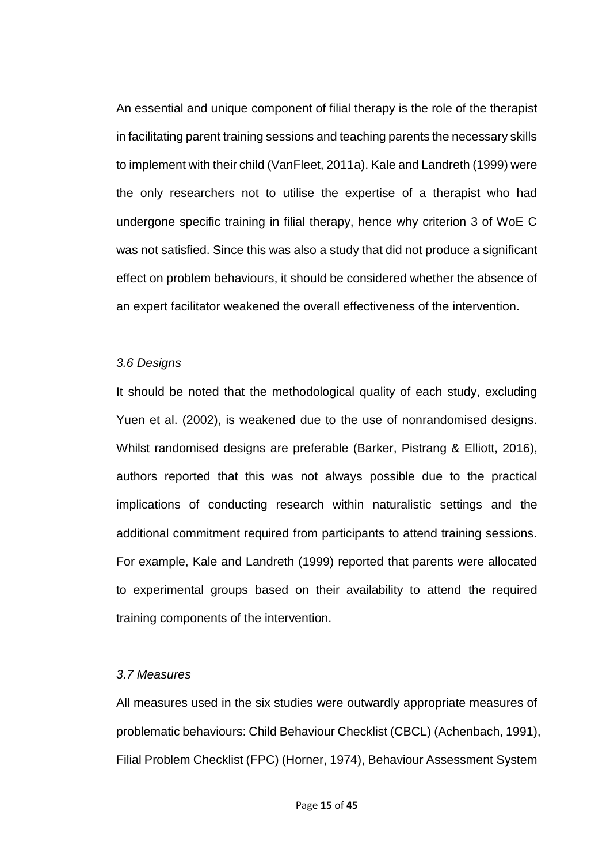An essential and unique component of filial therapy is the role of the therapist in facilitating parent training sessions and teaching parents the necessary skills to implement with their child (VanFleet, 2011a). Kale and Landreth (1999) were the only researchers not to utilise the expertise of a therapist who had undergone specific training in filial therapy, hence why criterion 3 of WoE C was not satisfied. Since this was also a study that did not produce a significant effect on problem behaviours, it should be considered whether the absence of an expert facilitator weakened the overall effectiveness of the intervention.

#### *3.6 Designs*

It should be noted that the methodological quality of each study, excluding Yuen et al. (2002), is weakened due to the use of nonrandomised designs. Whilst randomised designs are preferable (Barker, Pistrang & Elliott, 2016), authors reported that this was not always possible due to the practical implications of conducting research within naturalistic settings and the additional commitment required from participants to attend training sessions. For example, Kale and Landreth (1999) reported that parents were allocated to experimental groups based on their availability to attend the required training components of the intervention.

#### *3.7 Measures*

All measures used in the six studies were outwardly appropriate measures of problematic behaviours: Child Behaviour Checklist (CBCL) (Achenbach, 1991), Filial Problem Checklist (FPC) (Horner, 1974), Behaviour Assessment System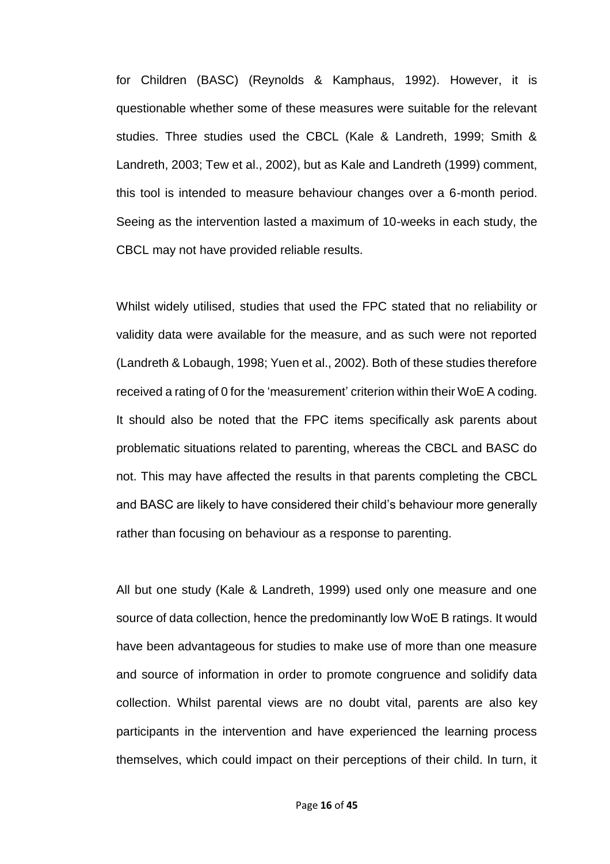for Children (BASC) (Reynolds & Kamphaus, 1992). However, it is questionable whether some of these measures were suitable for the relevant studies. Three studies used the CBCL (Kale & Landreth, 1999; Smith & Landreth, 2003; Tew et al., 2002), but as Kale and Landreth (1999) comment, this tool is intended to measure behaviour changes over a 6-month period. Seeing as the intervention lasted a maximum of 10-weeks in each study, the CBCL may not have provided reliable results.

Whilst widely utilised, studies that used the FPC stated that no reliability or validity data were available for the measure, and as such were not reported (Landreth & Lobaugh, 1998; Yuen et al., 2002). Both of these studies therefore received a rating of 0 for the 'measurement' criterion within their WoE A coding. It should also be noted that the FPC items specifically ask parents about problematic situations related to parenting, whereas the CBCL and BASC do not. This may have affected the results in that parents completing the CBCL and BASC are likely to have considered their child's behaviour more generally rather than focusing on behaviour as a response to parenting.

All but one study (Kale & Landreth, 1999) used only one measure and one source of data collection, hence the predominantly low WoE B ratings. It would have been advantageous for studies to make use of more than one measure and source of information in order to promote congruence and solidify data collection. Whilst parental views are no doubt vital, parents are also key participants in the intervention and have experienced the learning process themselves, which could impact on their perceptions of their child. In turn, it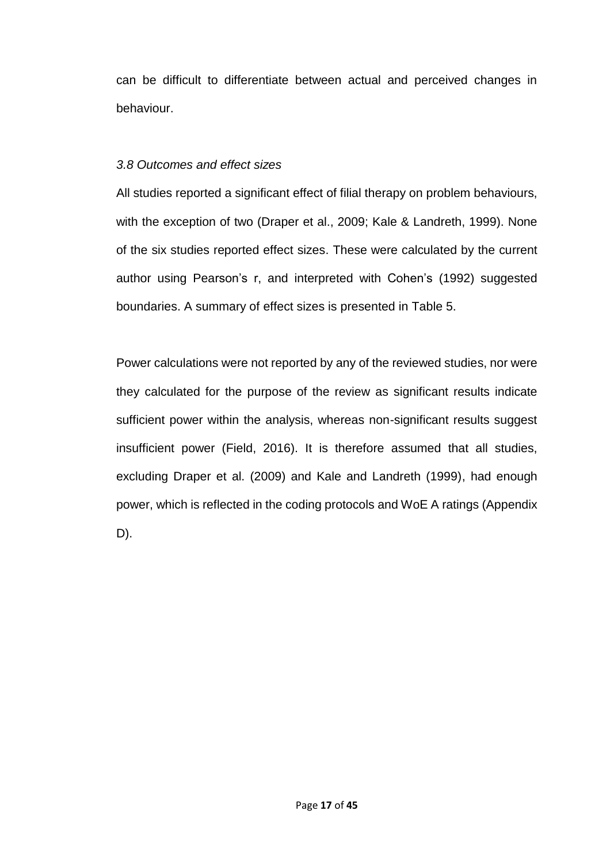can be difficult to differentiate between actual and perceived changes in behaviour.

## *3.8 Outcomes and effect sizes*

All studies reported a significant effect of filial therapy on problem behaviours, with the exception of two (Draper et al., 2009; Kale & Landreth, 1999). None of the six studies reported effect sizes. These were calculated by the current author using Pearson's r, and interpreted with Cohen's (1992) suggested boundaries. A summary of effect sizes is presented in Table 5.

Power calculations were not reported by any of the reviewed studies, nor were they calculated for the purpose of the review as significant results indicate sufficient power within the analysis, whereas non-significant results suggest insufficient power (Field, 2016). It is therefore assumed that all studies, excluding Draper et al. (2009) and Kale and Landreth (1999), had enough power, which is reflected in the coding protocols and WoE A ratings (Appendix D).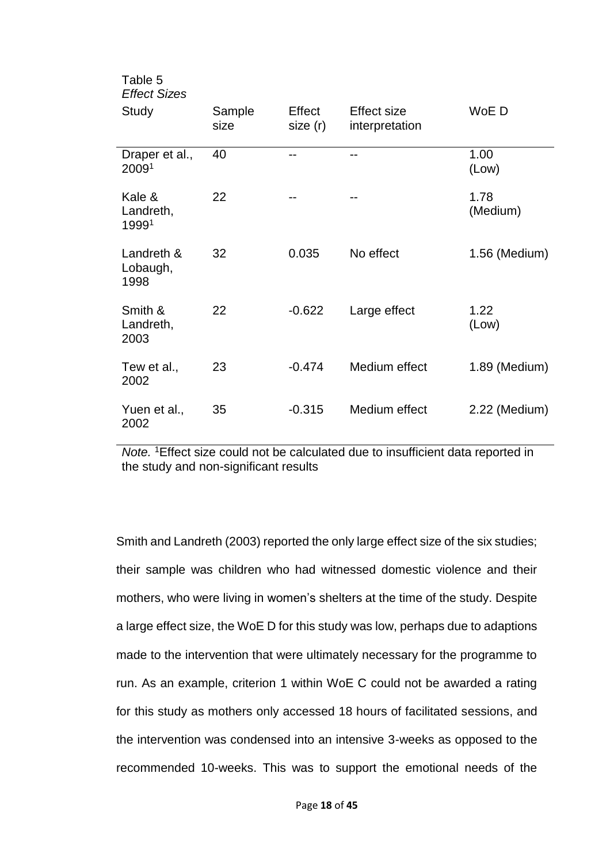| Table 5<br><b>Effect Sizes</b> |                |                    |                               |                  |
|--------------------------------|----------------|--------------------|-------------------------------|------------------|
| Study                          | Sample<br>size | Effect<br>size (r) | Effect size<br>interpretation | WoE D            |
| Draper et al.,<br>20091        | 40             | --                 | --                            | 1.00<br>(Low)    |
| Kale &<br>Landreth,<br>19991   | 22             |                    | --                            | 1.78<br>(Medium) |
| Landreth &<br>Lobaugh,<br>1998 | 32             | 0.035              | No effect                     | 1.56 (Medium)    |
| Smith &<br>Landreth,<br>2003   | 22             | $-0.622$           | Large effect                  | 1.22<br>(Low)    |
| Tew et al.,<br>2002            | 23             | $-0.474$           | Medium effect                 | 1.89 (Medium)    |
| Yuen et al.,<br>2002           | 35             | $-0.315$           | Medium effect                 | 2.22 (Medium)    |

*Note.* <sup>1</sup>Effect size could not be calculated due to insufficient data reported in the study and non-significant results

Smith and Landreth (2003) reported the only large effect size of the six studies; their sample was children who had witnessed domestic violence and their mothers, who were living in women's shelters at the time of the study. Despite a large effect size, the WoE D for this study was low, perhaps due to adaptions made to the intervention that were ultimately necessary for the programme to run. As an example, criterion 1 within WoE C could not be awarded a rating for this study as mothers only accessed 18 hours of facilitated sessions, and the intervention was condensed into an intensive 3-weeks as opposed to the recommended 10-weeks. This was to support the emotional needs of the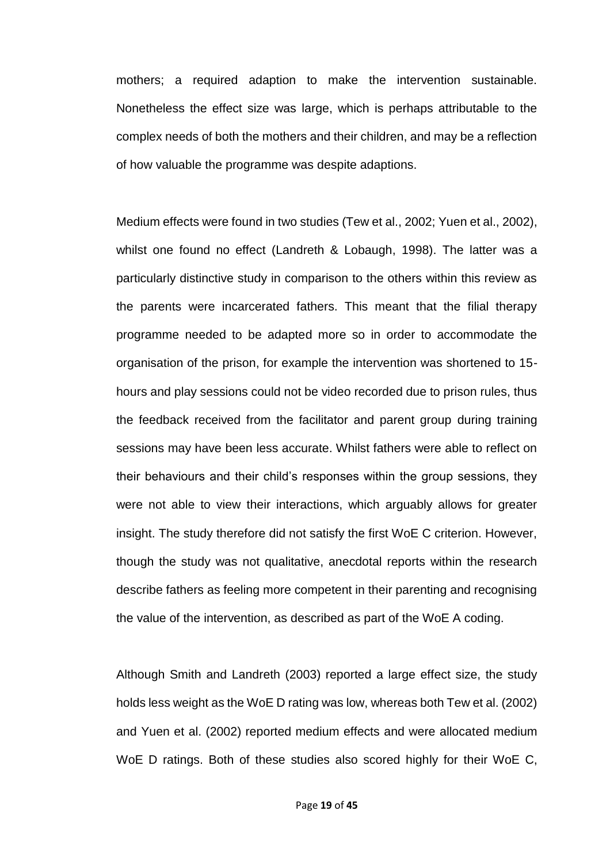mothers; a required adaption to make the intervention sustainable. Nonetheless the effect size was large, which is perhaps attributable to the complex needs of both the mothers and their children, and may be a reflection of how valuable the programme was despite adaptions.

Medium effects were found in two studies (Tew et al., 2002; Yuen et al., 2002), whilst one found no effect (Landreth & Lobaugh, 1998). The latter was a particularly distinctive study in comparison to the others within this review as the parents were incarcerated fathers. This meant that the filial therapy programme needed to be adapted more so in order to accommodate the organisation of the prison, for example the intervention was shortened to 15 hours and play sessions could not be video recorded due to prison rules, thus the feedback received from the facilitator and parent group during training sessions may have been less accurate. Whilst fathers were able to reflect on their behaviours and their child's responses within the group sessions, they were not able to view their interactions, which arguably allows for greater insight. The study therefore did not satisfy the first WoE C criterion. However, though the study was not qualitative, anecdotal reports within the research describe fathers as feeling more competent in their parenting and recognising the value of the intervention, as described as part of the WoE A coding.

Although Smith and Landreth (2003) reported a large effect size, the study holds less weight as the WoE D rating was low, whereas both Tew et al. (2002) and Yuen et al. (2002) reported medium effects and were allocated medium WoE D ratings. Both of these studies also scored highly for their WoE C,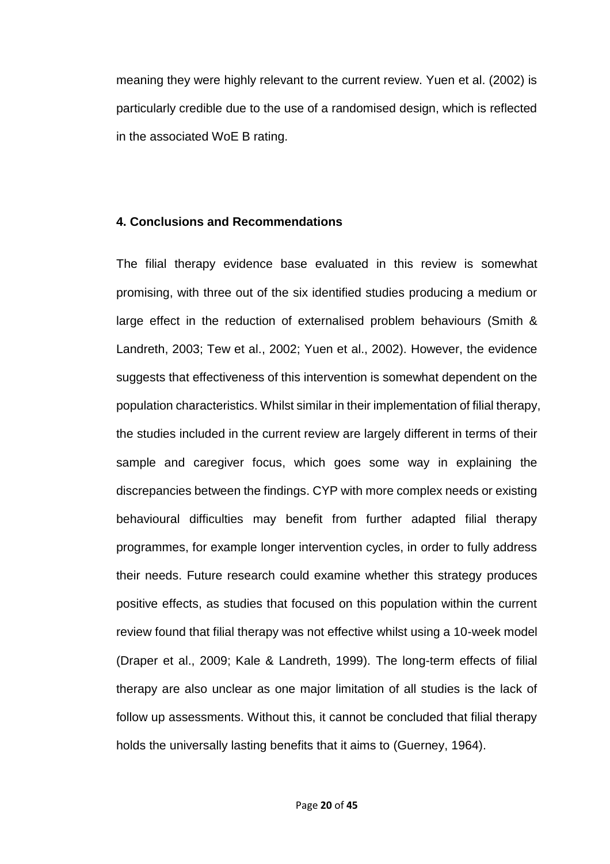meaning they were highly relevant to the current review. Yuen et al. (2002) is particularly credible due to the use of a randomised design, which is reflected in the associated WoE B rating.

#### **4. Conclusions and Recommendations**

The filial therapy evidence base evaluated in this review is somewhat promising, with three out of the six identified studies producing a medium or large effect in the reduction of externalised problem behaviours (Smith & Landreth, 2003; Tew et al., 2002; Yuen et al., 2002). However, the evidence suggests that effectiveness of this intervention is somewhat dependent on the population characteristics. Whilst similar in their implementation of filial therapy, the studies included in the current review are largely different in terms of their sample and caregiver focus, which goes some way in explaining the discrepancies between the findings. CYP with more complex needs or existing behavioural difficulties may benefit from further adapted filial therapy programmes, for example longer intervention cycles, in order to fully address their needs. Future research could examine whether this strategy produces positive effects, as studies that focused on this population within the current review found that filial therapy was not effective whilst using a 10-week model (Draper et al., 2009; Kale & Landreth, 1999). The long-term effects of filial therapy are also unclear as one major limitation of all studies is the lack of follow up assessments. Without this, it cannot be concluded that filial therapy holds the universally lasting benefits that it aims to (Guerney, 1964).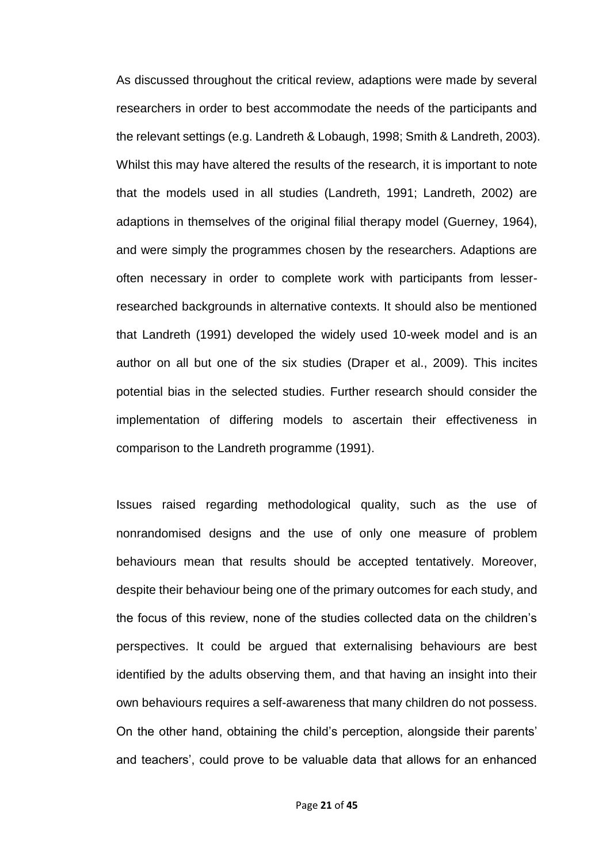As discussed throughout the critical review, adaptions were made by several researchers in order to best accommodate the needs of the participants and the relevant settings (e.g. Landreth & Lobaugh, 1998; Smith & Landreth, 2003). Whilst this may have altered the results of the research, it is important to note that the models used in all studies (Landreth, 1991; Landreth, 2002) are adaptions in themselves of the original filial therapy model (Guerney, 1964), and were simply the programmes chosen by the researchers. Adaptions are often necessary in order to complete work with participants from lesserresearched backgrounds in alternative contexts. It should also be mentioned that Landreth (1991) developed the widely used 10-week model and is an author on all but one of the six studies (Draper et al., 2009). This incites potential bias in the selected studies. Further research should consider the implementation of differing models to ascertain their effectiveness in comparison to the Landreth programme (1991).

Issues raised regarding methodological quality, such as the use of nonrandomised designs and the use of only one measure of problem behaviours mean that results should be accepted tentatively. Moreover, despite their behaviour being one of the primary outcomes for each study, and the focus of this review, none of the studies collected data on the children's perspectives. It could be argued that externalising behaviours are best identified by the adults observing them, and that having an insight into their own behaviours requires a self-awareness that many children do not possess. On the other hand, obtaining the child's perception, alongside their parents' and teachers', could prove to be valuable data that allows for an enhanced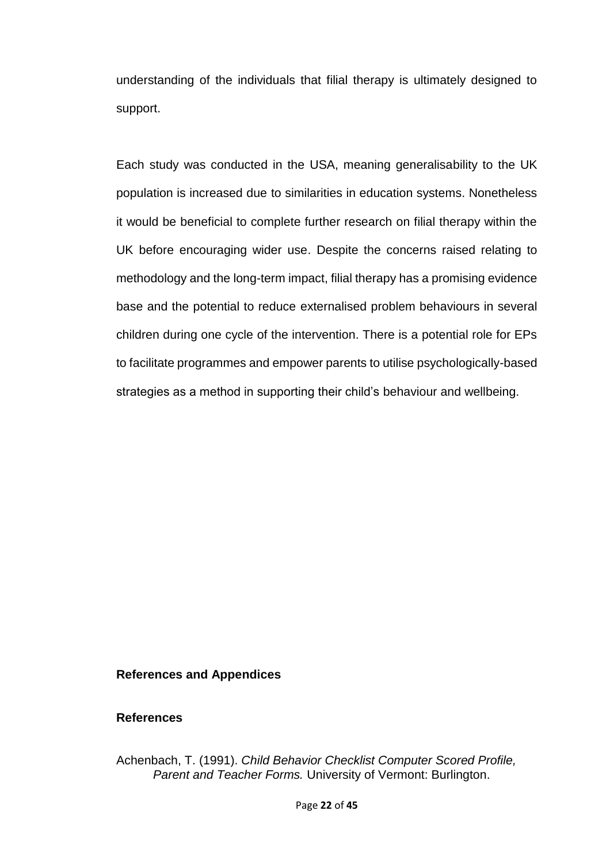understanding of the individuals that filial therapy is ultimately designed to support.

Each study was conducted in the USA, meaning generalisability to the UK population is increased due to similarities in education systems. Nonetheless it would be beneficial to complete further research on filial therapy within the UK before encouraging wider use. Despite the concerns raised relating to methodology and the long-term impact, filial therapy has a promising evidence base and the potential to reduce externalised problem behaviours in several children during one cycle of the intervention. There is a potential role for EPs to facilitate programmes and empower parents to utilise psychologically-based strategies as a method in supporting their child's behaviour and wellbeing.

#### **References and Appendices**

#### **References**

Achenbach, T. (1991). *Child Behavior Checklist Computer Scored Profile, Parent and Teacher Forms.* University of Vermont: Burlington.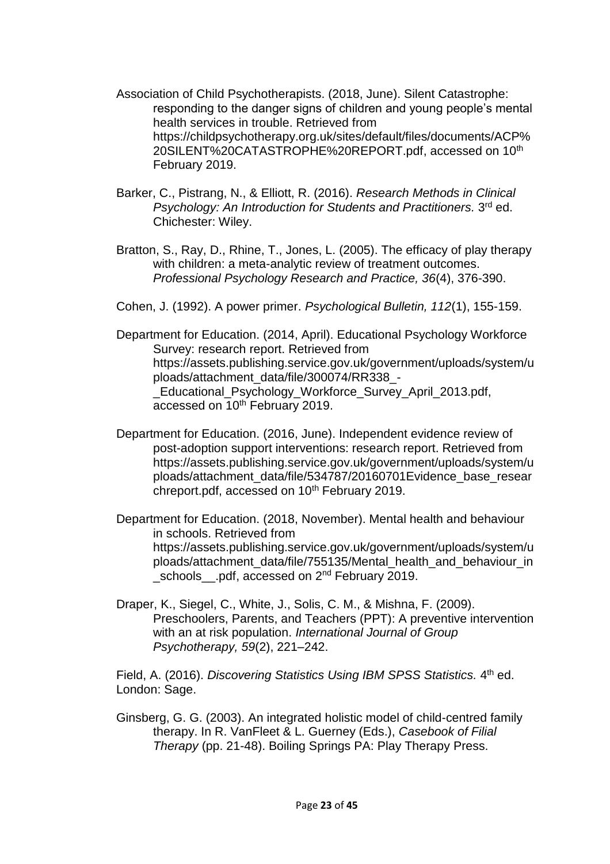- Association of Child Psychotherapists. (2018, June). Silent Catastrophe: responding to the danger signs of children and young people's mental health services in trouble. Retrieved from https://childpsychotherapy.org.uk/sites/default/files/documents/ACP% 20SILENT%20CATASTROPHE%20REPORT.pdf, accessed on 10th February 2019.
- Barker, C., Pistrang, N., & Elliott, R. (2016). *Research Methods in Clinical Psychology: An Introduction for Students and Practitioners.* 3 rd ed. Chichester: Wiley.
- Bratton, S., Ray, D., Rhine, T., Jones, L. (2005). The efficacy of play therapy with children: a meta-analytic review of treatment outcomes. *Professional Psychology Research and Practice, 36*(4), 376-390.
- Cohen, J. (1992). A power primer. *Psychological Bulletin, 112*(1), 155-159.
- Department for Education. (2014, April). Educational Psychology Workforce Survey: research report. Retrieved from https://assets.publishing.service.gov.uk/government/uploads/system/u ploads/attachment\_data/file/300074/RR338\_- \_Educational\_Psychology\_Workforce\_Survey\_April\_2013.pdf, accessed on 10<sup>th</sup> February 2019.
- Department for Education. (2016, June). Independent evidence review of post-adoption support interventions: research report. Retrieved from https://assets.publishing.service.gov.uk/government/uploads/system/u ploads/attachment\_data/file/534787/20160701Evidence\_base\_resear chreport.pdf, accessed on 10<sup>th</sup> February 2019.
- Department for Education. (2018, November). Mental health and behaviour in schools. Retrieved from https://assets.publishing.service.gov.uk/government/uploads/system/u ploads/attachment\_data/file/755135/Mental\_health\_and\_behaviour\_in \_schools\_\_.pdf, accessed on 2<sup>nd</sup> February 2019.
- Draper, K., Siegel, C., White, J., Solis, C. M., & Mishna, F. (2009). Preschoolers, Parents, and Teachers (PPT): A preventive intervention with an at risk population. *International Journal of Group Psychotherapy, 59*(2), 221–242.

Field, A. (2016). *Discovering Statistics Using IBM SPSS Statistics.* 4<sup>th</sup> ed. London: Sage.

Ginsberg, G. G. (2003). An integrated holistic model of child-centred family therapy. In R. VanFleet & L. Guerney (Eds.), *Casebook of Filial Therapy* (pp. 21-48). Boiling Springs PA: Play Therapy Press.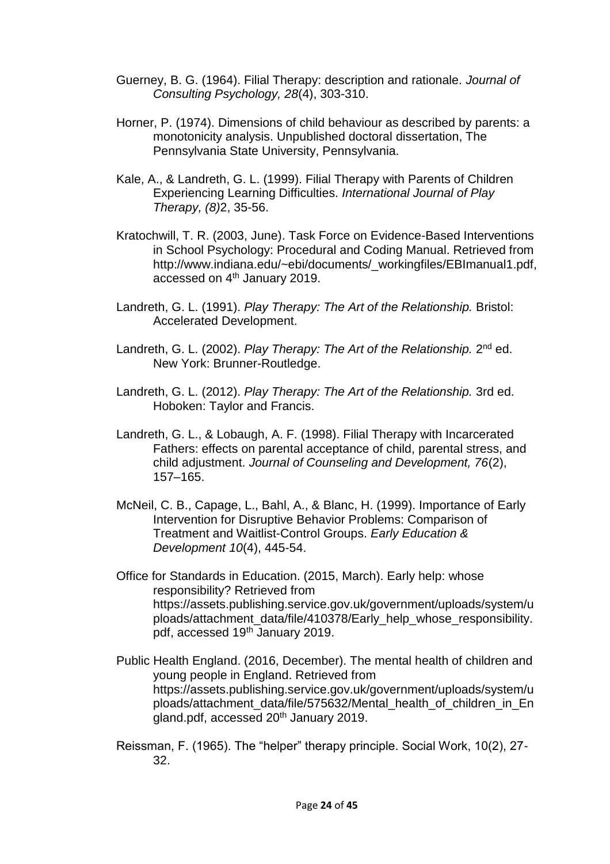- Guerney, B. G. (1964). Filial Therapy: description and rationale. *Journal of Consulting Psychology, 28*(4), 303-310.
- Horner, P. (1974). Dimensions of child behaviour as described by parents: a monotonicity analysis. Unpublished doctoral dissertation, The Pennsylvania State University, Pennsylvania.
- Kale, A., & Landreth, G. L. (1999). Filial Therapy with Parents of Children Experiencing Learning Difficulties. *International Journal of Play Therapy, (8)*2, 35-56.
- Kratochwill, T. R. (2003, June). Task Force on Evidence-Based Interventions in School Psychology: Procedural and Coding Manual. Retrieved from http://www.indiana.edu/~ebi/documents/\_workingfiles/EBImanual1.pdf, accessed on 4<sup>th</sup> January 2019.
- Landreth, G. L. (1991). *Play Therapy: The Art of the Relationship.* Bristol: Accelerated Development.
- Landreth, G. L. (2002). Play Therapy: The Art of the Relationship. 2<sup>nd</sup> ed. New York: Brunner-Routledge.
- Landreth, G. L. (2012). *Play Therapy: The Art of the Relationship.* 3rd ed. Hoboken: Taylor and Francis.
- Landreth, G. L., & Lobaugh, A. F. (1998). Filial Therapy with Incarcerated Fathers: effects on parental acceptance of child, parental stress, and child adjustment. *Journal of Counseling and Development, 76*(2), 157–165.
- McNeil, C. B., Capage, L., Bahl, A., & Blanc, H. (1999). Importance of Early Intervention for Disruptive Behavior Problems: Comparison of Treatment and Waitlist-Control Groups. *Early Education & Development 10*(4), 445-54.
- Office for Standards in Education. (2015, March). Early help: whose responsibility? Retrieved from https://assets.publishing.service.gov.uk/government/uploads/system/u ploads/attachment\_data/file/410378/Early\_help\_whose\_responsibility. pdf, accessed 19<sup>th</sup> January 2019.
- Public Health England. (2016, December). The mental health of children and young people in England. Retrieved from https://assets.publishing.service.gov.uk/government/uploads/system/u ploads/attachment\_data/file/575632/Mental\_health\_of\_children\_in\_En gland.pdf, accessed 20<sup>th</sup> January 2019.
- Reissman, F. (1965). The "helper" therapy principle. Social Work, 10(2), 27- 32.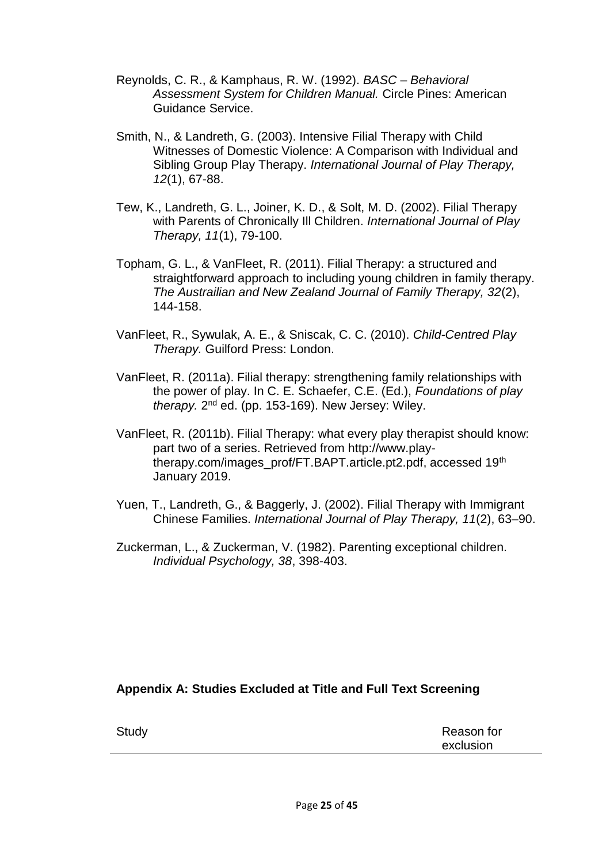- Reynolds, C. R., & Kamphaus, R. W. (1992). *BASC – Behavioral Assessment System for Children Manual.* Circle Pines: American Guidance Service.
- Smith, N., & Landreth, G. (2003). Intensive Filial Therapy with Child Witnesses of Domestic Violence: A Comparison with Individual and Sibling Group Play Therapy. *International Journal of Play Therapy, 12*(1), 67-88.
- Tew, K., Landreth, G. L., Joiner, K. D., & Solt, M. D. (2002). Filial Therapy with Parents of Chronically Ill Children. *International Journal of Play Therapy, 11*(1), 79-100.
- Topham, G. L., & VanFleet, R. (2011). Filial Therapy: a structured and straightforward approach to including young children in family therapy. *The Austrailian and New Zealand Journal of Family Therapy, 32*(2), 144-158.
- VanFleet, R., Sywulak, A. E., & Sniscak, C. C. (2010). *Child-Centred Play Therapy.* Guilford Press: London.
- VanFleet, R. (2011a). Filial therapy: strengthening family relationships with the power of play. In C. E. Schaefer, C.E. (Ed.), *Foundations of play*  therapy. 2<sup>nd</sup> ed. (pp. 153-169). New Jersey: Wiley.
- VanFleet, R. (2011b). Filial Therapy: what every play therapist should know: part two of a series. Retrieved from http://www.playtherapy.com/images\_prof/FT.BAPT.article.pt2.pdf, accessed 19th January 2019.
- Yuen, T., Landreth, G., & Baggerly, J. (2002). Filial Therapy with Immigrant Chinese Families. *International Journal of Play Therapy, 11*(2), 63–90.
- Zuckerman, L., & Zuckerman, V. (1982). Parenting exceptional children. *Individual Psychology, 38*, 398-403.

#### **Appendix A: Studies Excluded at Title and Full Text Screening**

| Study | Reason for |
|-------|------------|
|       | exclusion  |
|       |            |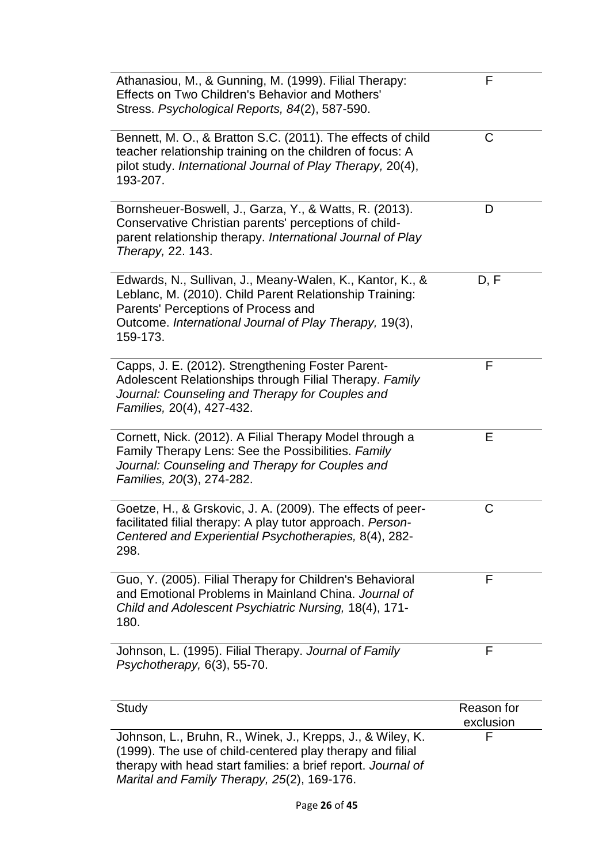| Athanasiou, M., & Gunning, M. (1999). Filial Therapy:<br>Effects on Two Children's Behavior and Mothers'<br>Stress. Psychological Reports, 84(2), 587-590.                                                                             | F                       |
|----------------------------------------------------------------------------------------------------------------------------------------------------------------------------------------------------------------------------------------|-------------------------|
| Bennett, M. O., & Bratton S.C. (2011). The effects of child<br>teacher relationship training on the children of focus: A<br>pilot study. International Journal of Play Therapy, 20(4),<br>193-207.                                     | C                       |
| Bornsheuer-Boswell, J., Garza, Y., & Watts, R. (2013).<br>Conservative Christian parents' perceptions of child-<br>parent relationship therapy. International Journal of Play<br>Therapy, 22. 143.                                     | D                       |
| Edwards, N., Sullivan, J., Meany-Walen, K., Kantor, K., &<br>Leblanc, M. (2010). Child Parent Relationship Training:<br>Parents' Perceptions of Process and<br>Outcome. International Journal of Play Therapy, 19(3),<br>159-173.      | D, F                    |
| Capps, J. E. (2012). Strengthening Foster Parent-<br>Adolescent Relationships through Filial Therapy. Family<br>Journal: Counseling and Therapy for Couples and<br>Families, 20(4), 427-432.                                           | F                       |
| Cornett, Nick. (2012). A Filial Therapy Model through a<br>Family Therapy Lens: See the Possibilities. Family<br>Journal: Counseling and Therapy for Couples and<br>Families, 20(3), 274-282.                                          | Е                       |
| Goetze, H., & Grskovic, J. A. (2009). The effects of peer-<br>facilitated filial therapy: A play tutor approach. Person-<br>Centered and Experiential Psychotherapies, 8(4), 282-<br>298.                                              | С                       |
| Guo, Y. (2005). Filial Therapy for Children's Behavioral<br>and Emotional Problems in Mainland China. Journal of<br>Child and Adolescent Psychiatric Nursing, 18(4), 171-<br>180.                                                      | F                       |
| Johnson, L. (1995). Filial Therapy. Journal of Family<br>Psychotherapy, 6(3), 55-70.                                                                                                                                                   | F                       |
| Study                                                                                                                                                                                                                                  | Reason for<br>exclusion |
| Johnson, L., Bruhn, R., Winek, J., Krepps, J., & Wiley, K.<br>(1999). The use of child-centered play therapy and filial<br>therapy with head start families: a brief report. Journal of<br>Marital and Family Therapy, 25(2), 169-176. | F                       |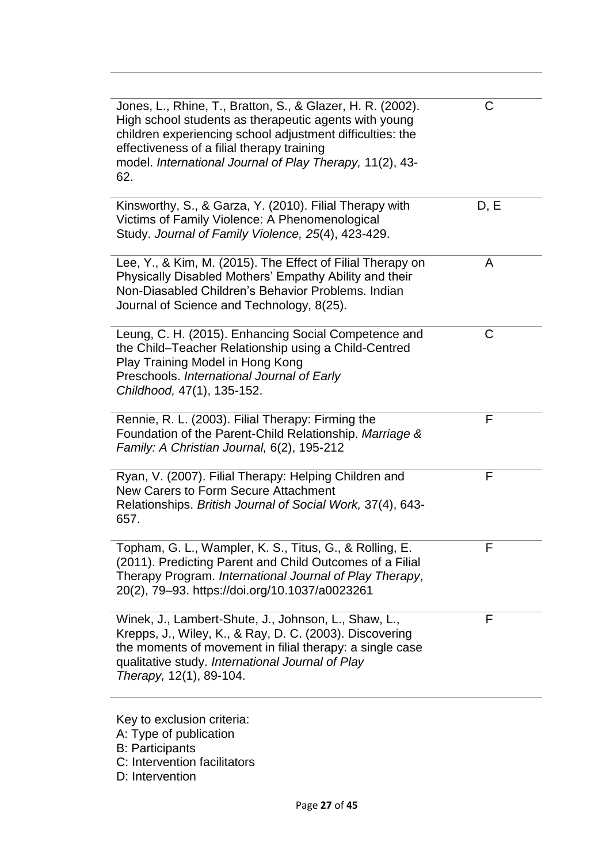| Jones, L., Rhine, T., Bratton, S., & Glazer, H. R. (2002).<br>High school students as therapeutic agents with young<br>children experiencing school adjustment difficulties: the<br>effectiveness of a filial therapy training<br>model. International Journal of Play Therapy, 11(2), 43-<br>62. | С    |
|---------------------------------------------------------------------------------------------------------------------------------------------------------------------------------------------------------------------------------------------------------------------------------------------------|------|
| Kinsworthy, S., & Garza, Y. (2010). Filial Therapy with<br>Victims of Family Violence: A Phenomenological<br>Study. Journal of Family Violence, 25(4), 423-429.                                                                                                                                   | D, E |
| Lee, Y., & Kim, M. (2015). The Effect of Filial Therapy on<br>Physically Disabled Mothers' Empathy Ability and their<br>Non-Diasabled Children's Behavior Problems. Indian<br>Journal of Science and Technology, 8(25).                                                                           | A    |
| Leung, C. H. (2015). Enhancing Social Competence and<br>the Child-Teacher Relationship using a Child-Centred<br>Play Training Model in Hong Kong<br>Preschools. International Journal of Early<br>Childhood, 47(1), 135-152.                                                                      | С    |
| Rennie, R. L. (2003). Filial Therapy: Firming the<br>Foundation of the Parent-Child Relationship. Marriage &<br>Family: A Christian Journal, 6(2), 195-212                                                                                                                                        | F    |
| Ryan, V. (2007). Filial Therapy: Helping Children and<br>New Carers to Form Secure Attachment<br>Relationships. British Journal of Social Work, 37(4), 643-<br>657.                                                                                                                               | F    |
| , Wampler, K. S., Titus, G., & Rolling, E<br>Topham, G. L<br>(2011). Predicting Parent and Child Outcomes of a Filial<br>Therapy Program. International Journal of Play Therapy,<br>20(2), 79-93. https://doi.org/10.1037/a0023261                                                                | F    |
| Winek, J., Lambert-Shute, J., Johnson, L., Shaw, L.,<br>Krepps, J., Wiley, K., & Ray, D. C. (2003). Discovering<br>the moments of movement in filial therapy: a single case<br>qualitative study. International Journal of Play<br>Therapy, 12(1), 89-104.                                        | F    |
|                                                                                                                                                                                                                                                                                                   |      |

Key to exclusion criteria:

- A: Type of publication
- B: Participants
- C: Intervention facilitators
- D: Intervention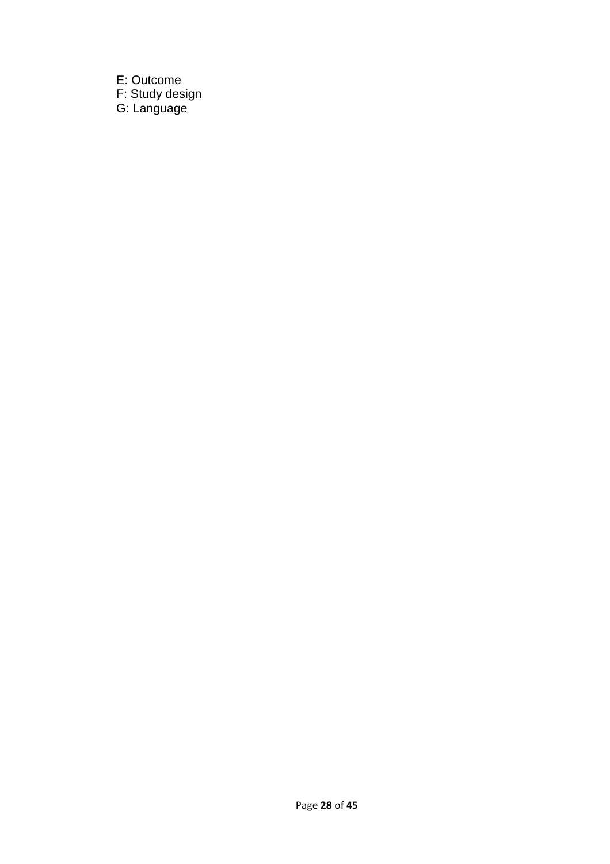E: Outcome F: Study design G: Language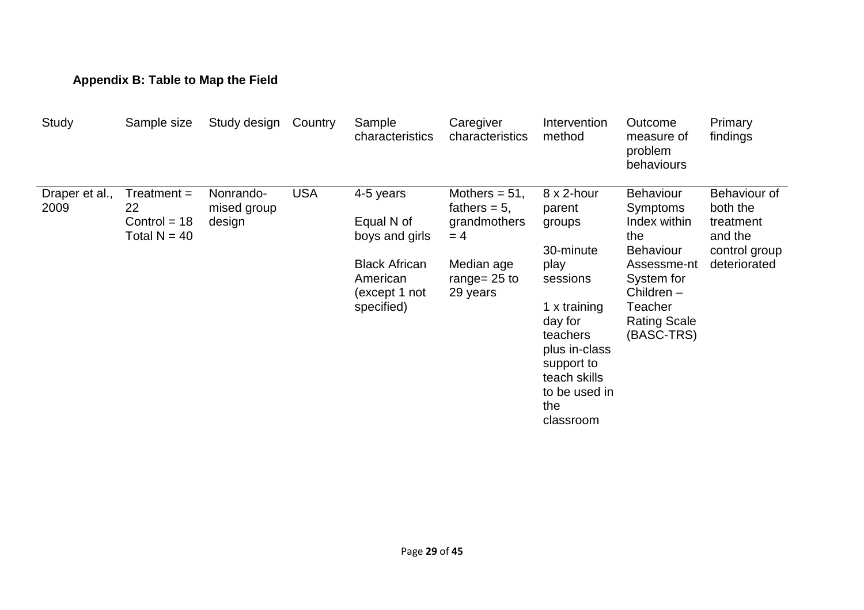# **Appendix B: Table to Map the Field**

| Study                  | Sample size                                             | Study design                       | Country    | Sample<br>characteristics                                       | Caregiver<br>characteristics                                 | Intervention<br>method                                                                                                                      | Outcome<br>measure of<br>problem<br>behaviours                                            | Primary<br>findings                                               |
|------------------------|---------------------------------------------------------|------------------------------------|------------|-----------------------------------------------------------------|--------------------------------------------------------------|---------------------------------------------------------------------------------------------------------------------------------------------|-------------------------------------------------------------------------------------------|-------------------------------------------------------------------|
| Draper et al.,<br>2009 | $Treatment =$<br>22<br>Control = $18$<br>Total $N = 40$ | Nonrando-<br>mised group<br>design | <b>USA</b> | 4-5 years<br>Equal N of<br>boys and girls                       | Mothers $= 51$ ,<br>fathers $= 5$ ,<br>grandmothers<br>$= 4$ | $8 \times 2$ -hour<br>parent<br>groups<br>30-minute                                                                                         | <b>Behaviour</b><br>Symptoms<br>Index within<br>the<br><b>Behaviour</b>                   | Behaviour of<br>both the<br>treatment<br>and the<br>control group |
|                        |                                                         |                                    |            | <b>Black African</b><br>American<br>(except 1 not<br>specified) | Median age<br>range= $25$ to<br>29 years                     | play<br>sessions<br>1 x training<br>day for<br>teachers<br>plus in-class<br>support to<br>teach skills<br>to be used in<br>the<br>classroom | Assessme-nt<br>System for<br>Children $-$<br>Teacher<br><b>Rating Scale</b><br>(BASC-TRS) | deteriorated                                                      |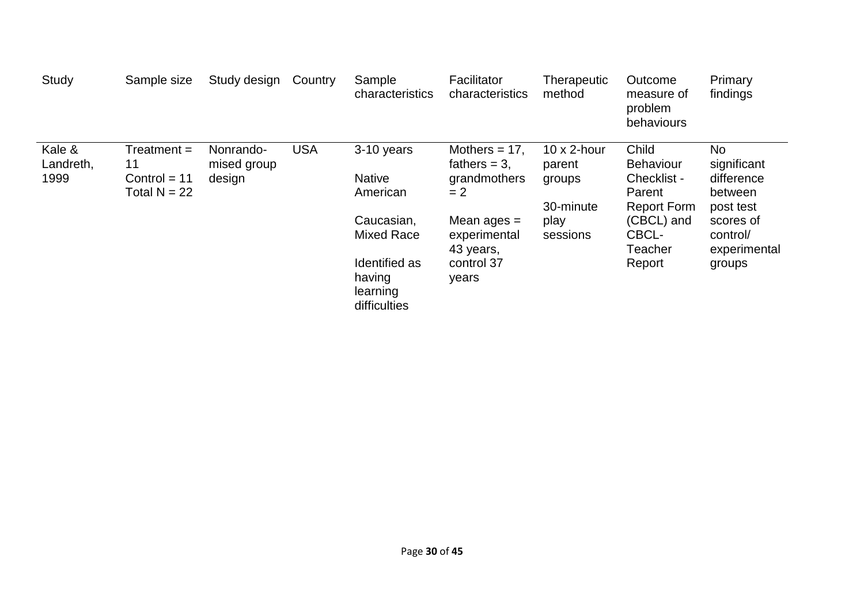| Study               | Sample size                      | Study design             | Country    | Sample<br>characteristics                           | Facilitator<br>characteristics      | <b>Therapeutic</b><br>method  | Outcome<br>measure of<br>problem<br>behaviours | Primary<br>findings   |
|---------------------|----------------------------------|--------------------------|------------|-----------------------------------------------------|-------------------------------------|-------------------------------|------------------------------------------------|-----------------------|
| Kale &<br>Landreth, | $Treatment =$<br>11              | Nonrando-<br>mised group | <b>USA</b> | 3-10 years                                          | Mothers $= 17$ ,<br>fathers $= 3$ , | $10 \times 2$ -hour<br>parent | Child<br><b>Behaviour</b>                      | No<br>significant     |
| 1999                | Control $= 11$<br>Total $N = 22$ | design                   |            | <b>Native</b><br>American                           | grandmothers<br>$= 2$               | groups                        | Checklist -<br>Parent                          | difference<br>between |
|                     |                                  |                          |            |                                                     |                                     | 30-minute                     | <b>Report Form</b>                             | post test             |
|                     |                                  |                          |            |                                                     |                                     | Caucasian,<br>Mixed Race      | Mean ages $=$<br>experimental<br>43 years,     | play<br>sessions      |
|                     |                                  |                          |            | Identified as<br>having<br>learning<br>difficulties | control 37<br>years                 |                               | Report                                         | groups                |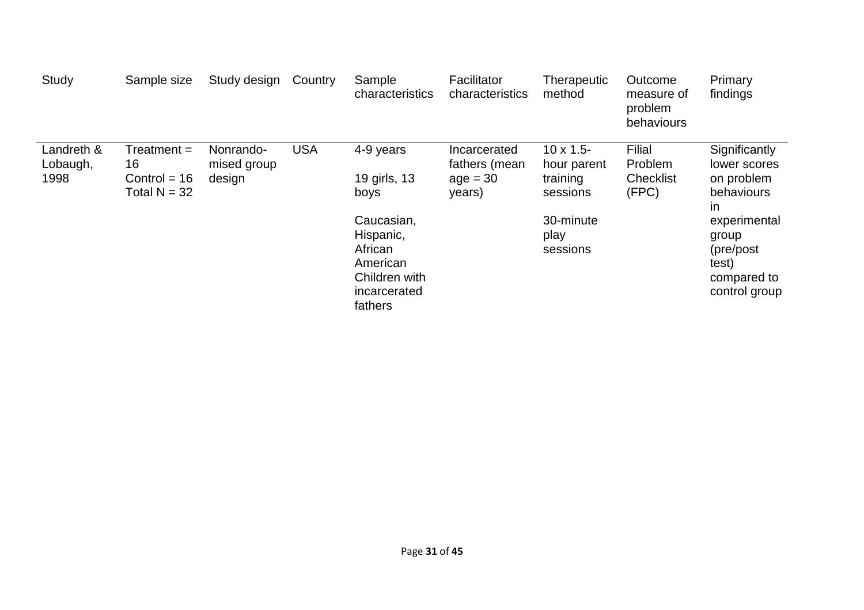| Study                          | Sample size                                             | Study design                       | Country    | Sample<br>characteristics                                                                  | Facilitator<br>characteristics                        | Therapeutic<br>method                                    | Outcome<br>measure of<br>problem<br>behaviours | Primary<br>findings                                                          |
|--------------------------------|---------------------------------------------------------|------------------------------------|------------|--------------------------------------------------------------------------------------------|-------------------------------------------------------|----------------------------------------------------------|------------------------------------------------|------------------------------------------------------------------------------|
| Landreth &<br>Lobaugh,<br>1998 | $Treatment =$<br>16<br>Control = $16$<br>Total $N = 32$ | Nonrando-<br>mised group<br>design | <b>USA</b> | 4-9 years<br>19 girls, 13<br>boys                                                          | Incarcerated<br>fathers (mean<br>$age = 30$<br>years) | $10 \times 1.5$ -<br>hour parent<br>training<br>sessions | Filial<br>Problem<br><b>Checklist</b><br>(FPC) | Significantly<br>lower scores<br>on problem<br>behaviours<br>in              |
|                                |                                                         |                                    |            | Caucasian,<br>Hispanic,<br>African<br>American<br>Children with<br>incarcerated<br>fathers |                                                       | 30-minute<br>play<br>sessions                            |                                                | experimental<br>group<br>(pre/post)<br>test)<br>compared to<br>control group |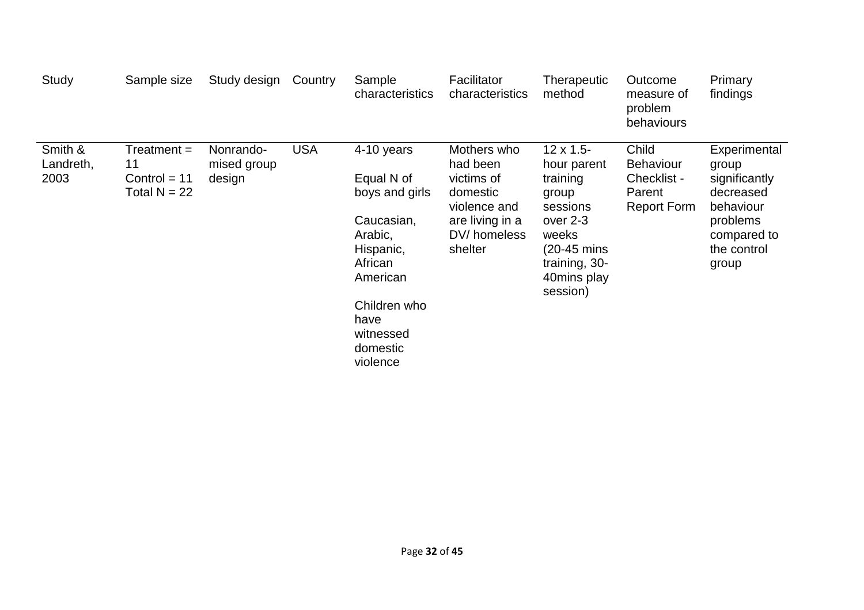| Study                        | Sample size                                           | Study design                       | Country    | Sample<br>characteristics                                                                                                                                            | Facilitator<br>characteristics                                                                                 | Therapeutic<br>method                                                                                                                             | Outcome<br>measure of<br>problem<br>behaviours                           | Primary<br>findings                                                                                                 |
|------------------------------|-------------------------------------------------------|------------------------------------|------------|----------------------------------------------------------------------------------------------------------------------------------------------------------------------|----------------------------------------------------------------------------------------------------------------|---------------------------------------------------------------------------------------------------------------------------------------------------|--------------------------------------------------------------------------|---------------------------------------------------------------------------------------------------------------------|
| Smith &<br>Landreth,<br>2003 | Treatment =<br>11<br>Control $= 11$<br>Total $N = 22$ | Nonrando-<br>mised group<br>design | <b>USA</b> | 4-10 years<br>Equal N of<br>boys and girls<br>Caucasian,<br>Arabic,<br>Hispanic,<br>African<br>American<br>Children who<br>have<br>witnessed<br>domestic<br>violence | Mothers who<br>had been<br>victims of<br>domestic<br>violence and<br>are living in a<br>DV/homeless<br>shelter | $12 \times 1.5$ -<br>hour parent<br>training<br>group<br>sessions<br>over 2-3<br>weeks<br>(20-45 mins<br>training, 30-<br>40mins play<br>session) | Child<br><b>Behaviour</b><br>Checklist -<br>Parent<br><b>Report Form</b> | Experimental<br>group<br>significantly<br>decreased<br>behaviour<br>problems<br>compared to<br>the control<br>group |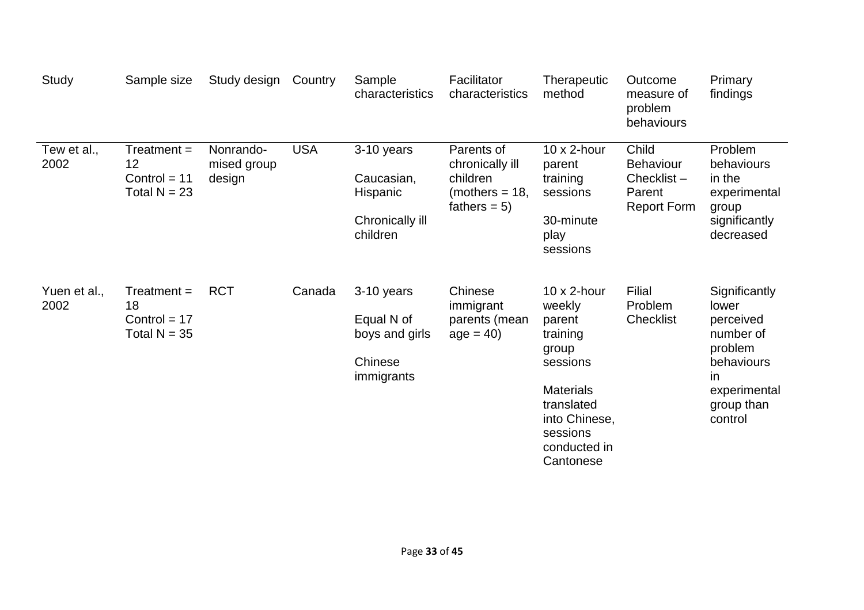| Study                | Sample size                                             | Study design                       | Country    | Sample<br>characteristics                                           | Facilitator<br>characteristics                                                  | Therapeutic<br>method                                                                                                                                                | Outcome<br>measure of<br>problem<br>behaviours                          | Primary<br>findings                                                                                                       |
|----------------------|---------------------------------------------------------|------------------------------------|------------|---------------------------------------------------------------------|---------------------------------------------------------------------------------|----------------------------------------------------------------------------------------------------------------------------------------------------------------------|-------------------------------------------------------------------------|---------------------------------------------------------------------------------------------------------------------------|
| Tew et al.,<br>2002  | $Treatment =$<br>12<br>Control = $11$<br>Total $N = 23$ | Nonrando-<br>mised group<br>design | <b>USA</b> | 3-10 years<br>Caucasian,<br>Hispanic<br>Chronically ill<br>children | Parents of<br>chronically ill<br>children<br>(mothers $=$ 18,<br>fathers = $5)$ | $10 \times 2$ -hour<br>parent<br>training<br>sessions<br>30-minute<br>play<br>sessions                                                                               | Child<br><b>Behaviour</b><br>Checklist-<br>Parent<br><b>Report Form</b> | Problem<br>behaviours<br>in the<br>experimental<br>group<br>significantly<br>decreased                                    |
| Yuen et al.,<br>2002 | $Treatment =$<br>18<br>Control = $17$<br>Total $N = 35$ | <b>RCT</b>                         | Canada     | 3-10 years<br>Equal N of<br>boys and girls<br>Chinese<br>immigrants | Chinese<br>immigrant<br>parents (mean<br>$age = 40$                             | $10 \times 2$ -hour<br>weekly<br>parent<br>training<br>group<br>sessions<br><b>Materials</b><br>translated<br>into Chinese,<br>sessions<br>conducted in<br>Cantonese | Filial<br>Problem<br>Checklist                                          | Significantly<br>lower<br>perceived<br>number of<br>problem<br>behaviours<br>in.<br>experimental<br>group than<br>control |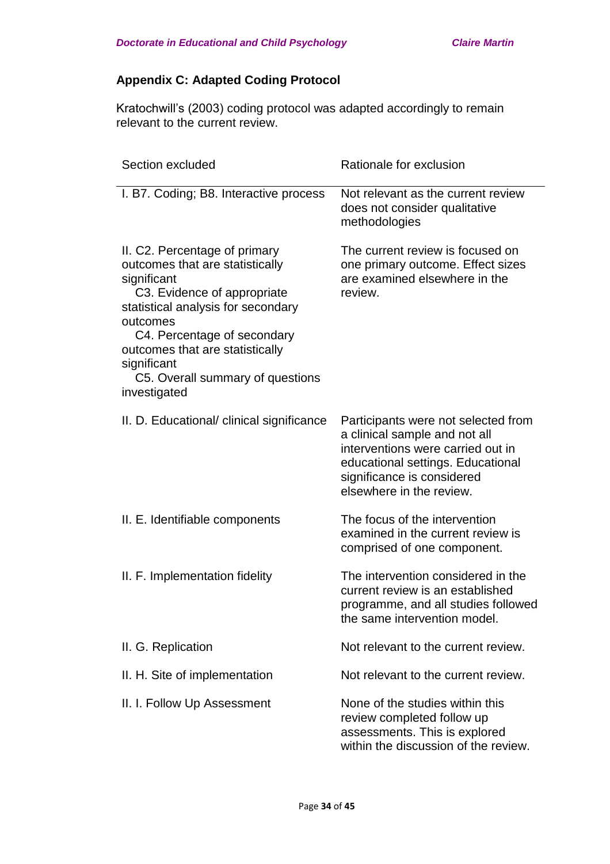# **Appendix C: Adapted Coding Protocol**

Kratochwill's (2003) coding protocol was adapted accordingly to remain relevant to the current review.

| Section excluded                                                                                                                                                                                                                                                                                      | Rationale for exclusion                                                                                                                                                                                  |
|-------------------------------------------------------------------------------------------------------------------------------------------------------------------------------------------------------------------------------------------------------------------------------------------------------|----------------------------------------------------------------------------------------------------------------------------------------------------------------------------------------------------------|
| I. B7. Coding; B8. Interactive process                                                                                                                                                                                                                                                                | Not relevant as the current review<br>does not consider qualitative<br>methodologies                                                                                                                     |
| II. C2. Percentage of primary<br>outcomes that are statistically<br>significant<br>C3. Evidence of appropriate<br>statistical analysis for secondary<br>outcomes<br>C4. Percentage of secondary<br>outcomes that are statistically<br>significant<br>C5. Overall summary of questions<br>investigated | The current review is focused on<br>one primary outcome. Effect sizes<br>are examined elsewhere in the<br>review.                                                                                        |
| II. D. Educational/ clinical significance                                                                                                                                                                                                                                                             | Participants were not selected from<br>a clinical sample and not all<br>interventions were carried out in<br>educational settings. Educational<br>significance is considered<br>elsewhere in the review. |
| II. E. Identifiable components                                                                                                                                                                                                                                                                        | The focus of the intervention<br>examined in the current review is<br>comprised of one component.                                                                                                        |
| II. F. Implementation fidelity                                                                                                                                                                                                                                                                        | The intervention considered in the<br>current review is an established<br>programme, and all studies followed<br>the same intervention model.                                                            |
| II. G. Replication                                                                                                                                                                                                                                                                                    | Not relevant to the current review.                                                                                                                                                                      |
| II. H. Site of implementation                                                                                                                                                                                                                                                                         | Not relevant to the current review.                                                                                                                                                                      |
| II. I. Follow Up Assessment                                                                                                                                                                                                                                                                           | None of the studies within this<br>review completed follow up<br>assessments. This is explored<br>within the discussion of the review.                                                                   |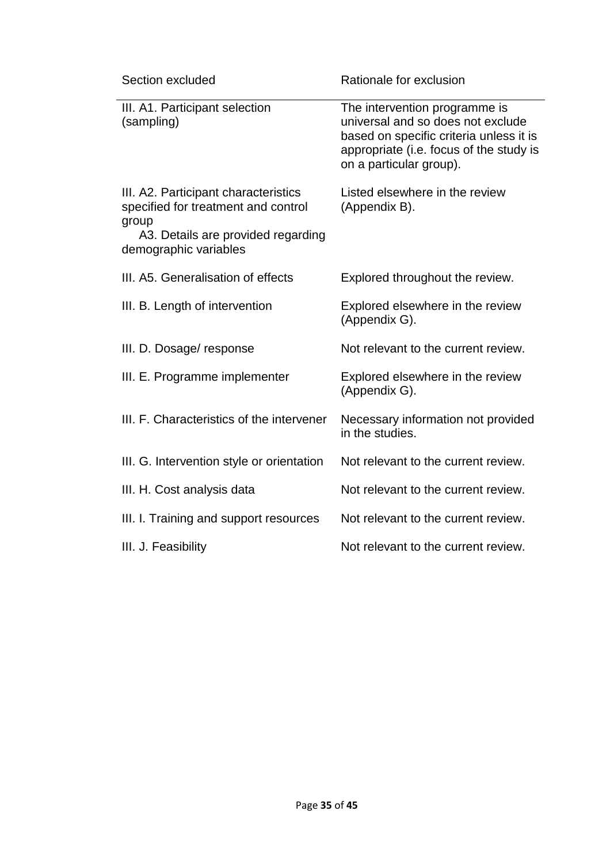| Section excluded                                                                                                                                    | Rationale for exclusion                                                                                                                                                             |
|-----------------------------------------------------------------------------------------------------------------------------------------------------|-------------------------------------------------------------------------------------------------------------------------------------------------------------------------------------|
| III. A1. Participant selection<br>(sampling)                                                                                                        | The intervention programme is<br>universal and so does not exclude<br>based on specific criteria unless it is<br>appropriate (i.e. focus of the study is<br>on a particular group). |
| III. A2. Participant characteristics<br>specified for treatment and control<br>group<br>A3. Details are provided regarding<br>demographic variables | Listed elsewhere in the review<br>(Appendix B).                                                                                                                                     |
| III. A5. Generalisation of effects                                                                                                                  | Explored throughout the review.                                                                                                                                                     |
| III. B. Length of intervention                                                                                                                      | Explored elsewhere in the review<br>(Appendix G).                                                                                                                                   |
| III. D. Dosage/response                                                                                                                             | Not relevant to the current review.                                                                                                                                                 |
| III. E. Programme implementer                                                                                                                       | Explored elsewhere in the review<br>(Appendix G).                                                                                                                                   |
| III. F. Characteristics of the intervener                                                                                                           | Necessary information not provided<br>in the studies.                                                                                                                               |
| III. G. Intervention style or orientation                                                                                                           | Not relevant to the current review.                                                                                                                                                 |
| III. H. Cost analysis data                                                                                                                          | Not relevant to the current review.                                                                                                                                                 |
| III. I. Training and support resources                                                                                                              | Not relevant to the current review.                                                                                                                                                 |
| III. J. Feasibility                                                                                                                                 | Not relevant to the current review.                                                                                                                                                 |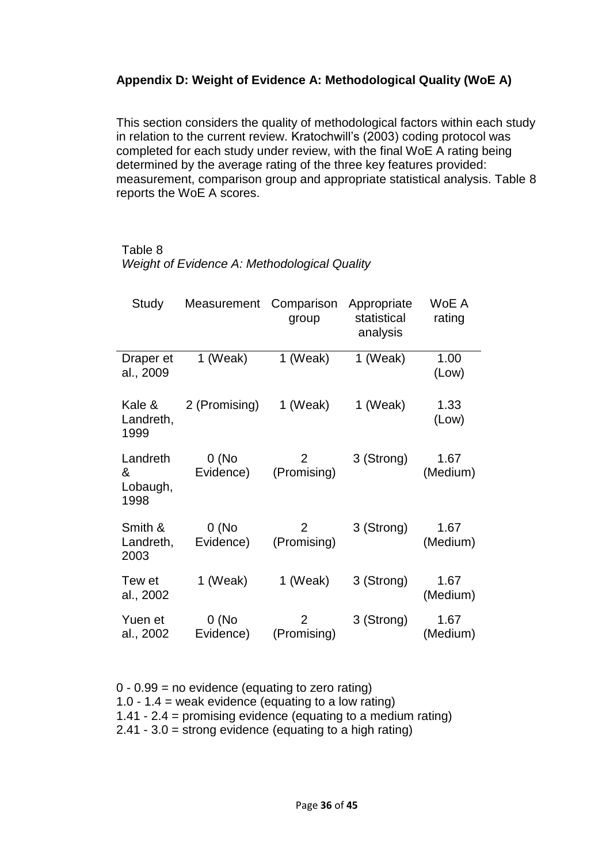# **Appendix D: Weight of Evidence A: Methodological Quality (WoE A)**

This section considers the quality of methodological factors within each study in relation to the current review. Kratochwill's (2003) coding protocol was completed for each study under review, with the final WoE A rating being determined by the average rating of the three key features provided: measurement, comparison group and appropriate statistical analysis. Table 8 reports the WoE A scores.

## Table 8

|  |  | Weight of Evidence A: Methodological Quality |  |  |  |  |
|--|--|----------------------------------------------|--|--|--|--|
|--|--|----------------------------------------------|--|--|--|--|

| Study                             | Measurement        | Comparison<br>group           | Appropriate<br>statistical<br>analysis | WoE A<br>rating  |
|-----------------------------------|--------------------|-------------------------------|----------------------------------------|------------------|
| Draper et<br>al., 2009            | 1 (Weak)           | 1 (Weak)                      | 1 (Weak)                               | 1.00<br>(Low)    |
| Kale &<br>Landreth,<br>1999       | 2 (Promising)      | 1 (Weak)                      | 1 (Weak)                               | 1.33<br>(Low)    |
| Landreth<br>&<br>Lobaugh,<br>1998 | 0(No)<br>Evidence) | 2<br>(Promising)              | 3 (Strong)                             | 1.67<br>(Medium) |
| Smith &<br>Landreth,<br>2003      | 0(No)<br>Evidence) | 2<br>(Promising)              | 3 (Strong)                             | 1.67<br>(Medium) |
| Tew et<br>al., 2002               | 1 (Weak)           | 1 (Weak)                      | 3 (Strong)                             | 1.67<br>(Medium) |
| Yuen et<br>al., 2002              | 0(No)<br>Evidence) | $\overline{2}$<br>(Promising) | 3 (Strong)                             | 1.67<br>(Medium) |

0 - 0.99 = no evidence (equating to zero rating) 1.0 - 1.4 = weak evidence (equating to a low rating) 1.41 - 2.4 = promising evidence (equating to a medium rating) 2.41 - 3.0 = strong evidence (equating to a high rating)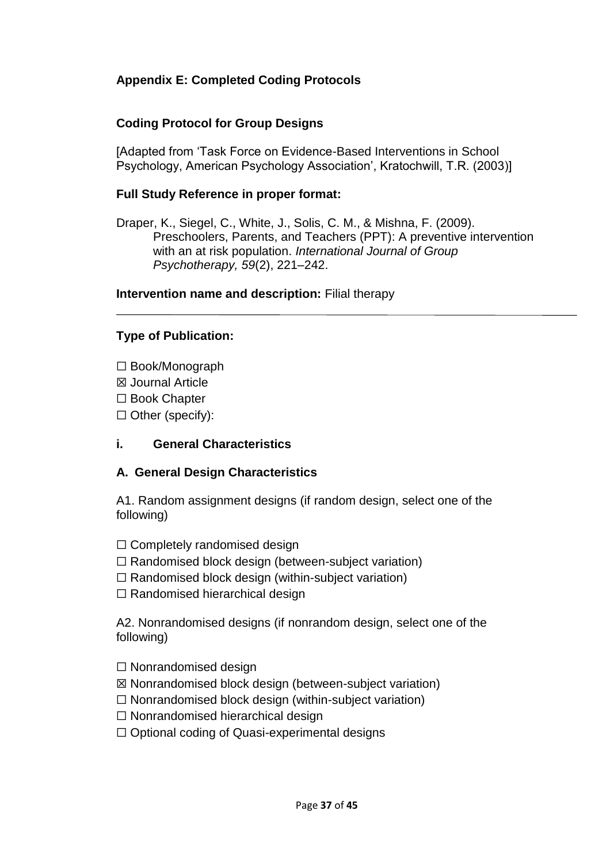# **Appendix E: Completed Coding Protocols**

# **Coding Protocol for Group Designs**

[Adapted from 'Task Force on Evidence-Based Interventions in School Psychology, American Psychology Association', Kratochwill, T.R. (2003)]

## **Full Study Reference in proper format:**

Draper, K., Siegel, C., White, J., Solis, C. M., & Mishna, F. (2009). Preschoolers, Parents, and Teachers (PPT): A preventive intervention with an at risk population. *International Journal of Group Psychotherapy, 59*(2), 221–242.

#### **Intervention name and description:** Filial therapy

# **Type of Publication:**

- ☐ Book/Monograph
- ☒ Journal Article
- ☐ Book Chapter
- $\Box$  Other (specify):

# **i. General Characteristics**

# **A. General Design Characteristics**

A1. Random assignment designs (if random design, select one of the following)

- $\Box$  Completely randomised design
- ☐ Randomised block design (between-subject variation)
- $\Box$  Randomised block design (within-subject variation)
- $\Box$  Randomised hierarchical design

A2. Nonrandomised designs (if nonrandom design, select one of the following)

- ☐ Nonrandomised design
- ☒ Nonrandomised block design (between-subject variation)
- $\Box$  Nonrandomised block design (within-subject variation)
- ☐ Nonrandomised hierarchical design
- $\Box$  Optional coding of Quasi-experimental designs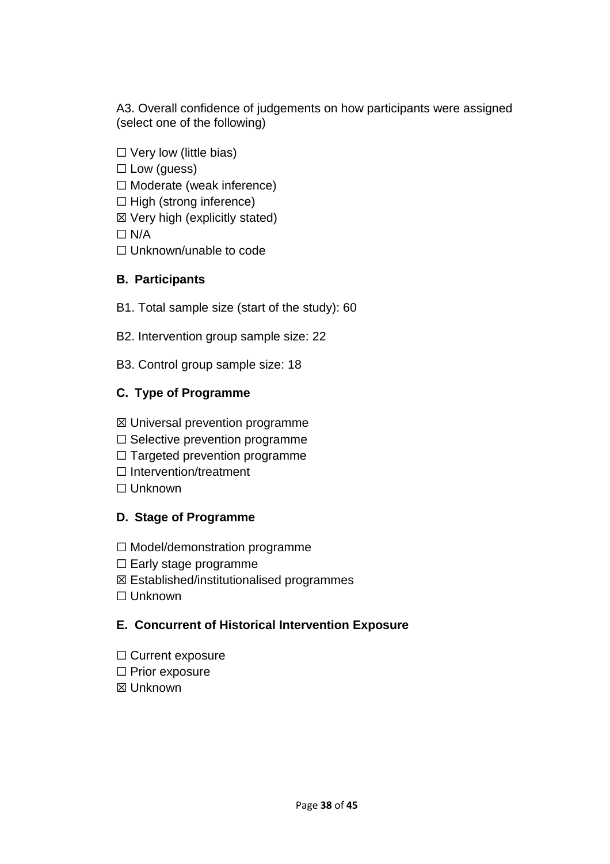A3. Overall confidence of judgements on how participants were assigned (select one of the following)

- $\Box$  Very low (little bias)
- $\Box$  Low (guess)
- ☐ Moderate (weak inference)
- $\Box$  High (strong inference)
- $\boxtimes$  Very high (explicitly stated)

 $\Box$  N/A

☐ Unknown/unable to code

# **B. Participants**

- B1. Total sample size (start of the study): 60
- B2. Intervention group sample size: 22
- B3. Control group sample size: 18

# **C. Type of Programme**

- ☒ Universal prevention programme
- $\Box$  Selective prevention programme
- $\Box$  Targeted prevention programme
- ☐ Intervention/treatment
- ☐ Unknown

# **D. Stage of Programme**

- ☐ Model/demonstration programme
- $\Box$  Early stage programme
- ☒ Established/institutionalised programmes
- ☐ Unknown

# **E. Concurrent of Historical Intervention Exposure**

- ☐ Current exposure
- □ Prior exposure
- ☒ Unknown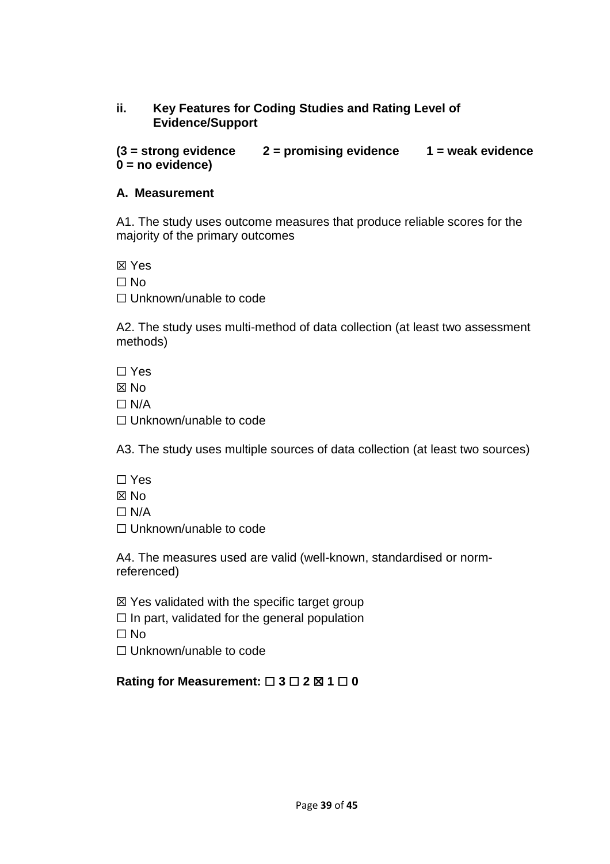# **ii. Key Features for Coding Studies and Rating Level of Evidence/Support**

**(3 = strong evidence 2 = promising evidence 1 = weak evidence 0 = no evidence)**

### **A. Measurement**

A1. The study uses outcome measures that produce reliable scores for the majority of the primary outcomes

☒ Yes

☐ No

☐ Unknown/unable to code

A2. The study uses multi-method of data collection (at least two assessment methods)

☐ Yes

☒ No

 $\Box$  N/A

☐ Unknown/unable to code

A3. The study uses multiple sources of data collection (at least two sources)

- ☐ Yes
- ☒ No
- $\Box$  N/A

☐ Unknown/unable to code

A4. The measures used are valid (well-known, standardised or normreferenced)

 $\boxtimes$  Yes validated with the specific target group

 $\Box$  In part, validated for the general population

☐ No

□ Unknown/unable to code

# **Rating for Measurement:** ☐ **3** ☐ **2** ☒ **1** ☐ **0**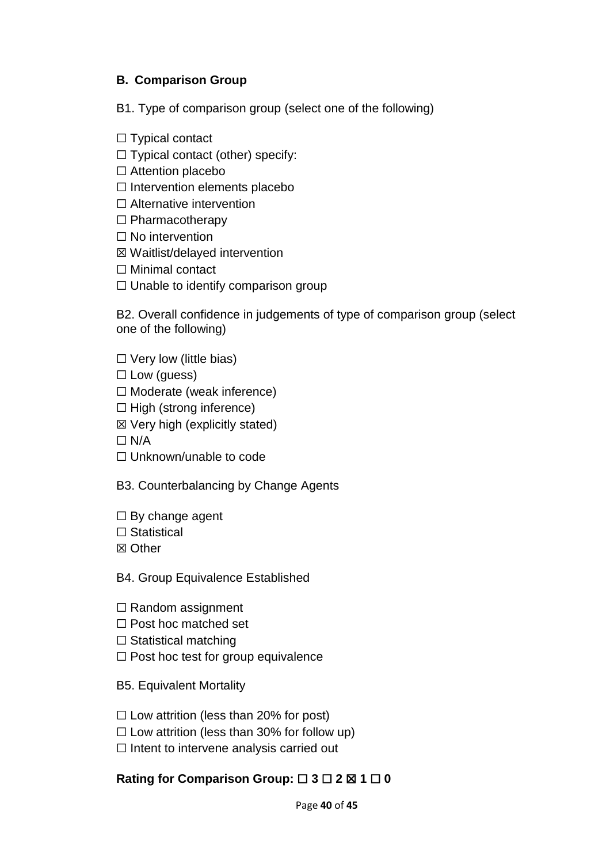# **B. Comparison Group**

B1. Type of comparison group (select one of the following)

 $\Box$  Typical contact

 $\Box$  Typical contact (other) specify:

☐ Attention placebo

 $\Box$  Intervention elements placebo

☐ Alternative intervention

☐ Pharmacotherapy

□ No intervention

☒ Waitlist/delayed intervention

☐ Minimal contact

 $\Box$  Unable to identify comparison group

B2. Overall confidence in judgements of type of comparison group (select one of the following)

 $\Box$  Very low (little bias)

 $\Box$  Low (guess)

☐ Moderate (weak inference)

- $\Box$  High (strong inference)
- ☒ Very high (explicitly stated)

 $\Box$  N/A

□ Unknown/unable to code

B3. Counterbalancing by Change Agents

- $\Box$  By change agent
- □ Statistical

☒ Other

B4. Group Equivalence Established

- $\Box$  Random assignment
- □ Post hoc matched set
- $\Box$  Statistical matching
- ☐ Post hoc test for group equivalence

B5. Equivalent Mortality

- $\Box$  Low attrition (less than 20% for post)
- $\Box$  Low attrition (less than 30% for follow up)
- $\Box$  Intent to intervene analysis carried out

# **Rating for Comparison Group:** ☐ **3** ☐ **2** ☒ **1** ☐ **0**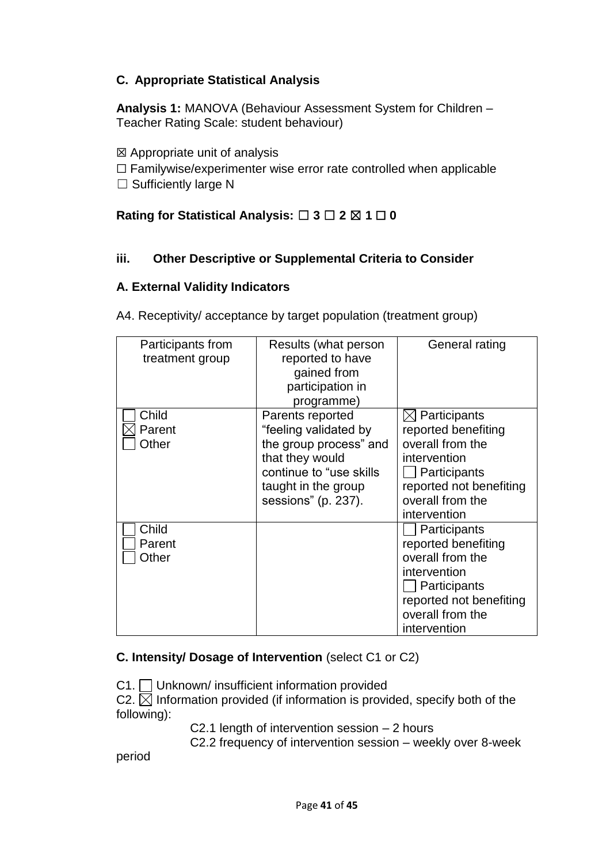# **C. Appropriate Statistical Analysis**

**Analysis 1:** MANOVA (Behaviour Assessment System for Children – Teacher Rating Scale: student behaviour)

- $\boxtimes$  Appropriate unit of analysis
- $\Box$  Familywise/experimenter wise error rate controlled when applicable
- $\Box$  Sufficiently large N

# **Rating for Statistical Analysis:** ☐ **3** ☐ **2** ☒ **1** ☐ **0**

## **iii. Other Descriptive or Supplemental Criteria to Consider**

## **A. External Validity Indicators**

A4. Receptivity/ acceptance by target population (treatment group)

| Participants from<br>treatment group | Results (what person<br>reported to have<br>gained from<br>participation in<br>programme)                                                                       | General rating                                                                                                                                                     |
|--------------------------------------|-----------------------------------------------------------------------------------------------------------------------------------------------------------------|--------------------------------------------------------------------------------------------------------------------------------------------------------------------|
| Child<br>Parent<br>Other             | Parents reported<br>"feeling validated by<br>the group process" and<br>that they would<br>continue to "use skills<br>taught in the group<br>sessions" (p. 237). | $\boxtimes$ Participants<br>reported benefiting<br>overall from the<br>intervention<br>Participants<br>reported not benefiting<br>overall from the<br>intervention |
| Child<br>Parent<br>Other             |                                                                                                                                                                 | Participants<br>reported benefiting<br>overall from the<br>intervention<br>Participants<br>reported not benefiting<br>overall from the<br>intervention             |

# **C. Intensity/ Dosage of Intervention** (select C1 or C2)

C1. Unknown/ insufficient information provided

C2.  $\boxtimes$  Information provided (if information is provided, specify both of the following):

C2.1 length of intervention session – 2 hours

C2.2 frequency of intervention session – weekly over 8-week

period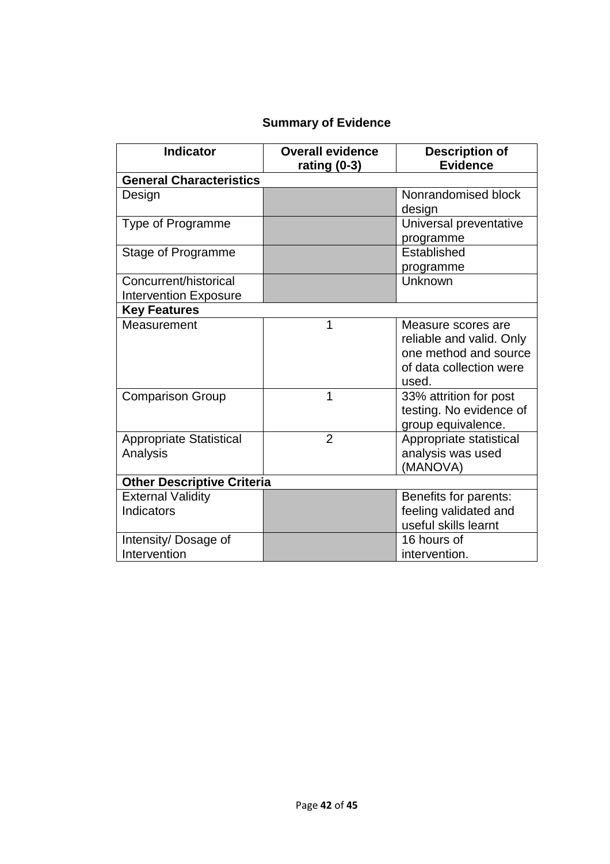# **Summary of Evidence**

| <b>Indicator</b>                                      | <b>Overall evidence</b><br>rating (0-3) | <b>Description of</b><br><b>Evidence</b>                                                                    |
|-------------------------------------------------------|-----------------------------------------|-------------------------------------------------------------------------------------------------------------|
| <b>General Characteristics</b>                        |                                         |                                                                                                             |
| Design                                                |                                         | Nonrandomised block<br>design                                                                               |
| <b>Type of Programme</b>                              |                                         | Universal preventative<br>programme                                                                         |
| Stage of Programme                                    |                                         | Established<br>programme                                                                                    |
| Concurrent/historical<br><b>Intervention Exposure</b> |                                         | Unknown                                                                                                     |
| <b>Key Features</b>                                   |                                         |                                                                                                             |
| Measurement                                           | 1                                       | Measure scores are<br>reliable and valid. Only<br>one method and source<br>of data collection were<br>used. |
| <b>Comparison Group</b>                               | 1                                       | 33% attrition for post<br>testing. No evidence of<br>group equivalence.                                     |
| <b>Appropriate Statistical</b><br>Analysis            | $\overline{2}$                          | Appropriate statistical<br>analysis was used<br>(MANOVA)                                                    |
| <b>Other Descriptive Criteria</b>                     |                                         |                                                                                                             |
| <b>External Validity</b><br>Indicators                |                                         | Benefits for parents:<br>feeling validated and<br>useful skills learnt                                      |
| Intensity/ Dosage of<br>Intervention                  |                                         | 16 hours of<br>intervention.                                                                                |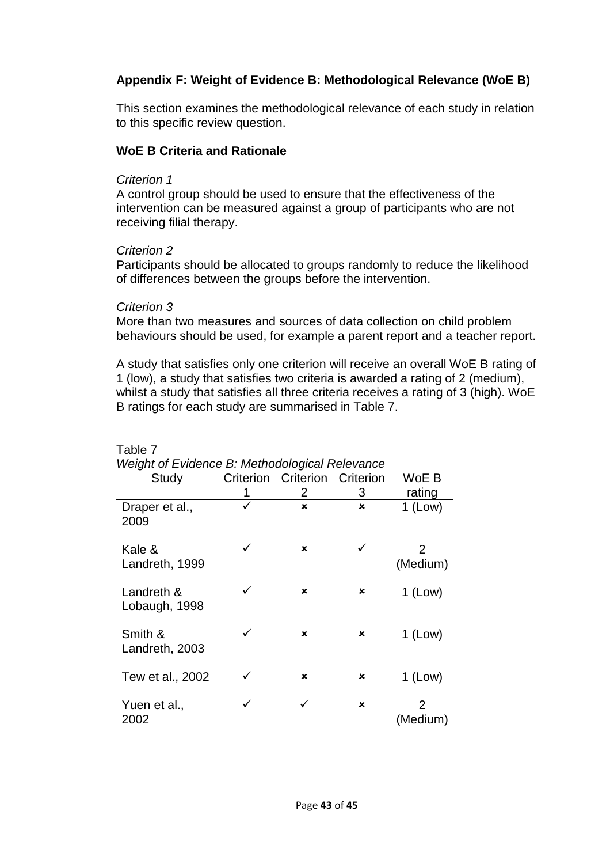# **Appendix F: Weight of Evidence B: Methodological Relevance (WoE B)**

This section examines the methodological relevance of each study in relation to this specific review question.

#### **WoE B Criteria and Rationale**

#### *Criterion 1*

A control group should be used to ensure that the effectiveness of the intervention can be measured against a group of participants who are not receiving filial therapy.

#### *Criterion 2*

Participants should be allocated to groups randomly to reduce the likelihood of differences between the groups before the intervention.

#### *Criterion 3*

Table 7

More than two measures and sources of data collection on child problem behaviours should be used, for example a parent report and a teacher report.

A study that satisfies only one criterion will receive an overall WoE B rating of 1 (low), a study that satisfies two criteria is awarded a rating of 2 (medium), whilst a study that satisfies all three criteria receives a rating of 3 (high). WoE B ratings for each study are summarised in Table 7.

| Weight of Evidence B: Methodological Relevance |   |                               |                           |                           |
|------------------------------------------------|---|-------------------------------|---------------------------|---------------------------|
| Study                                          |   | Criterion Criterion Criterion |                           | WoE B                     |
|                                                | 1 | 2                             | 3                         | rating                    |
| Draper et al.,<br>2009                         | ✓ | $\mathbf x$                   | $\boldsymbol{\mathsf{x}}$ | $1$ (Low)                 |
| Kale &<br>Landreth, 1999                       | ✓ | $\mathbf x$                   | ✓                         | $\mathcal{P}$<br>(Medium) |
| Landreth &<br>Lobaugh, 1998                    | ✓ | $\mathbf x$                   | ×                         | $1$ (Low)                 |
| Smith &<br>Landreth, 2003                      | ✓ | x                             | ×                         | $1$ (Low)                 |
| Tew et al., 2002                               |   | x                             | ×                         | $1$ (Low)                 |
| Yuen et al.,<br>2002                           |   |                               | ×                         | $\mathcal{P}$<br>(Medium) |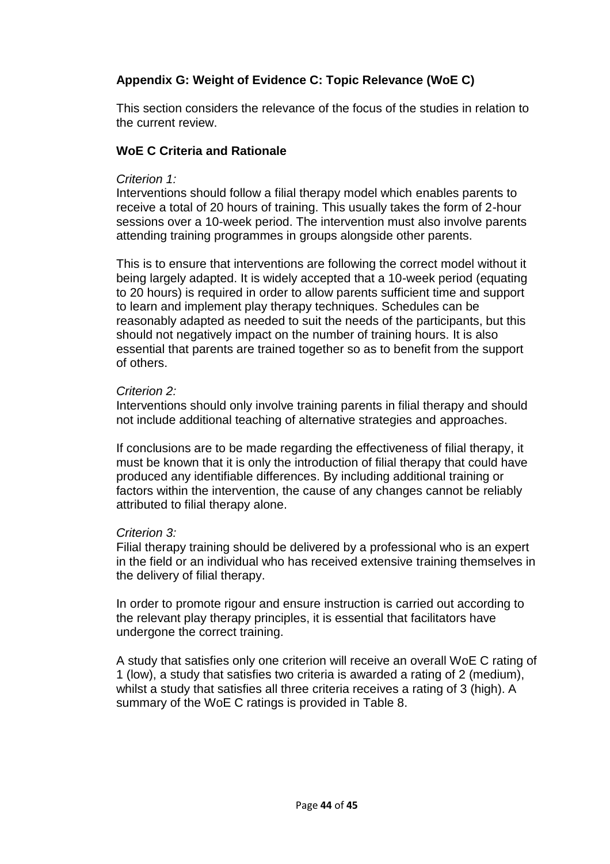# **Appendix G: Weight of Evidence C: Topic Relevance (WoE C)**

This section considers the relevance of the focus of the studies in relation to the current review.

### **WoE C Criteria and Rationale**

#### *Criterion 1:*

Interventions should follow a filial therapy model which enables parents to receive a total of 20 hours of training. This usually takes the form of 2-hour sessions over a 10-week period. The intervention must also involve parents attending training programmes in groups alongside other parents.

This is to ensure that interventions are following the correct model without it being largely adapted. It is widely accepted that a 10-week period (equating to 20 hours) is required in order to allow parents sufficient time and support to learn and implement play therapy techniques. Schedules can be reasonably adapted as needed to suit the needs of the participants, but this should not negatively impact on the number of training hours. It is also essential that parents are trained together so as to benefit from the support of others.

#### *Criterion 2:*

Interventions should only involve training parents in filial therapy and should not include additional teaching of alternative strategies and approaches.

If conclusions are to be made regarding the effectiveness of filial therapy, it must be known that it is only the introduction of filial therapy that could have produced any identifiable differences. By including additional training or factors within the intervention, the cause of any changes cannot be reliably attributed to filial therapy alone.

#### *Criterion 3:*

Filial therapy training should be delivered by a professional who is an expert in the field or an individual who has received extensive training themselves in the delivery of filial therapy.

In order to promote rigour and ensure instruction is carried out according to the relevant play therapy principles, it is essential that facilitators have undergone the correct training.

A study that satisfies only one criterion will receive an overall WoE C rating of 1 (low), a study that satisfies two criteria is awarded a rating of 2 (medium), whilst a study that satisfies all three criteria receives a rating of 3 (high). A summary of the WoE C ratings is provided in Table 8.